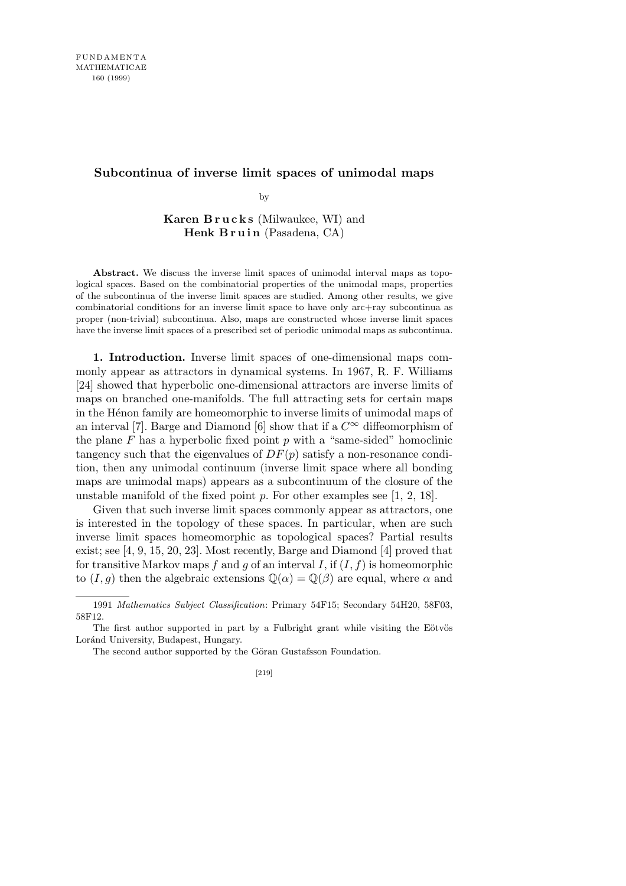## **Subcontinua of inverse limit spaces of unimodal maps**

by

**Karen B r u c k s** (Milwaukee, WI) and **Henk Bruin** (Pasadena, CA)

Abstract. We discuss the inverse limit spaces of unimodal interval maps as topological spaces. Based on the combinatorial properties of the unimodal maps, properties of the subcontinua of the inverse limit spaces are studied. Among other results, we give combinatorial conditions for an inverse limit space to have only arc+ray subcontinua as proper (non-trivial) subcontinua. Also, maps are constructed whose inverse limit spaces have the inverse limit spaces of a prescribed set of periodic unimodal maps as subcontinua.

**1. Introduction.** Inverse limit spaces of one-dimensional maps commonly appear as attractors in dynamical systems. In 1967, R. F. Williams [24] showed that hyperbolic one-dimensional attractors are inverse limits of maps on branched one-manifolds. The full attracting sets for certain maps in the H<sub>enon</sub> family are homeomorphic to inverse limits of unimodal maps of an interval [7]. Barge and Diamond [6] show that if a  $C^{\infty}$  diffeomorphism of the plane *F* has a hyperbolic fixed point *p* with a "same-sided" homoclinic tangency such that the eigenvalues of  $DF(p)$  satisfy a non-resonance condition, then any unimodal continuum (inverse limit space where all bonding maps are unimodal maps) appears as a subcontinuum of the closure of the unstable manifold of the fixed point *p*. For other examples see [1, 2, 18].

Given that such inverse limit spaces commonly appear as attractors, one is interested in the topology of these spaces. In particular, when are such inverse limit spaces homeomorphic as topological spaces? Partial results exist; see [4, 9, 15, 20, 23]. Most recently, Barge and Diamond [4] proved that for transitive Markov maps  $f$  and  $g$  of an interval  $I$ , if  $(I, f)$  is homeomorphic to  $(I, g)$  then the algebraic extensions  $\mathbb{Q}(\alpha) = \mathbb{Q}(\beta)$  are equal, where  $\alpha$  and

<sup>1991</sup> *Mathematics Subject Classification*: Primary 54F15; Secondary 54H20, 58F03, 58F12.

The first author supported in part by a Fulbright grant while visiting the Eötvös Loránd University, Budapest, Hungary.

The second author supported by the Göran Gustafsson Foundation.

<sup>[219]</sup>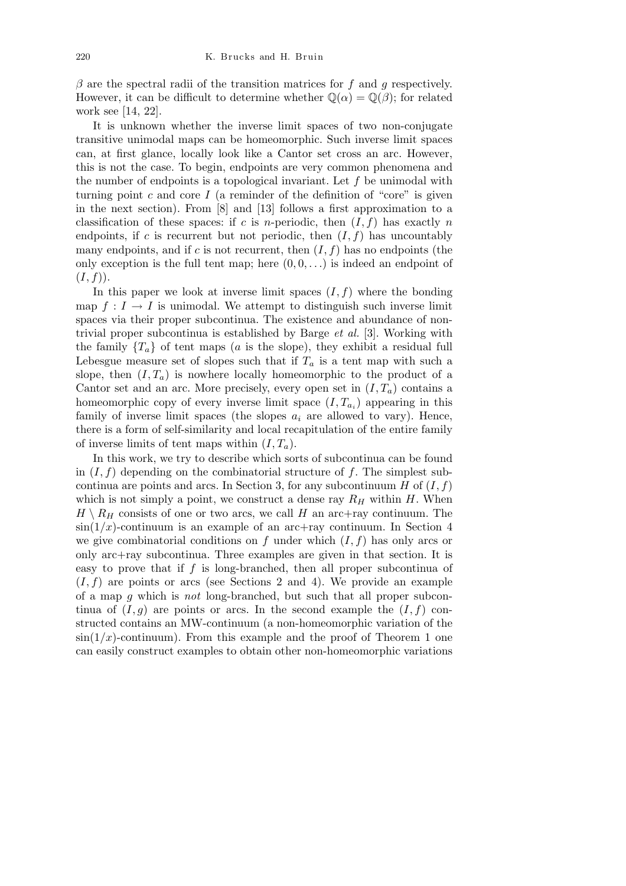*β* are the spectral radii of the transition matrices for *f* and *g* respectively. However, it can be difficult to determine whether  $\mathbb{Q}(\alpha) = \mathbb{Q}(\beta)$ ; for related work see [14, 22].

It is unknown whether the inverse limit spaces of two non-conjugate transitive unimodal maps can be homeomorphic. Such inverse limit spaces can, at first glance, locally look like a Cantor set cross an arc. However, this is not the case. To begin, endpoints are very common phenomena and the number of endpoints is a topological invariant. Let *f* be unimodal with turning point  $c$  and core  $I$  (a reminder of the definition of "core" is given in the next section). From [8] and [13] follows a first approximation to a classification of these spaces: if  $c$  is *n*-periodic, then  $(I, f)$  has exactly *n* endpoints, if  $c$  is recurrent but not periodic, then  $(I, f)$  has uncountably many endpoints, and if  $c$  is not recurrent, then  $(I, f)$  has no endpoints (the only exception is the full tent map; here  $(0,0,\ldots)$  is indeed an endpoint of  $(I, f)$ ).

In this paper we look at inverse limit spaces  $(I, f)$  where the bonding map  $f: I \to I$  is unimodal. We attempt to distinguish such inverse limit spaces via their proper subcontinua. The existence and abundance of nontrivial proper subcontinua is established by Barge *et al.* [3]. Working with the family  ${T_a}$  of tent maps (*a* is the slope), they exhibit a residual full Lebesgue measure set of slopes such that if  $T_a$  is a tent map with such a slope, then  $(I, T_a)$  is nowhere locally homeomorphic to the product of a Cantor set and an arc. More precisely, every open set in  $(I, T_a)$  contains a homeomorphic copy of every inverse limit space  $(I, T_{a_i})$  appearing in this family of inverse limit spaces (the slopes  $a_i$  are allowed to vary). Hence, there is a form of self-similarity and local recapitulation of the entire family of inverse limits of tent maps within  $(I, T_a)$ .

In this work, we try to describe which sorts of subcontinua can be found in (*I, f*) depending on the combinatorial structure of *f*. The simplest subcontinua are points and arcs. In Section 3, for any subcontinuum *H* of  $(I, f)$ which is not simply a point, we construct a dense ray  $R_H$  within  $H$ . When  $H \setminus R$ <sup>H</sup> consists of one or two arcs, we call *H* an arc+ray continuum. The  $\sin(1/x)$ -continuum is an example of an arc+ray continuum. In Section 4 we give combinatorial conditions on  $f$  under which  $(I, f)$  has only arcs or only arc+ray subcontinua. Three examples are given in that section. It is easy to prove that if *f* is long-branched, then all proper subcontinua of  $(I, f)$  are points or arcs (see Sections 2 and 4). We provide an example of a map *g* which is *not* long-branched, but such that all proper subcontinua of  $(I, g)$  are points or arcs. In the second example the  $(I, f)$  constructed contains an MW-continuum (a non-homeomorphic variation of the  $\sin(1/x)$ -continuum). From this example and the proof of Theorem 1 one can easily construct examples to obtain other non-homeomorphic variations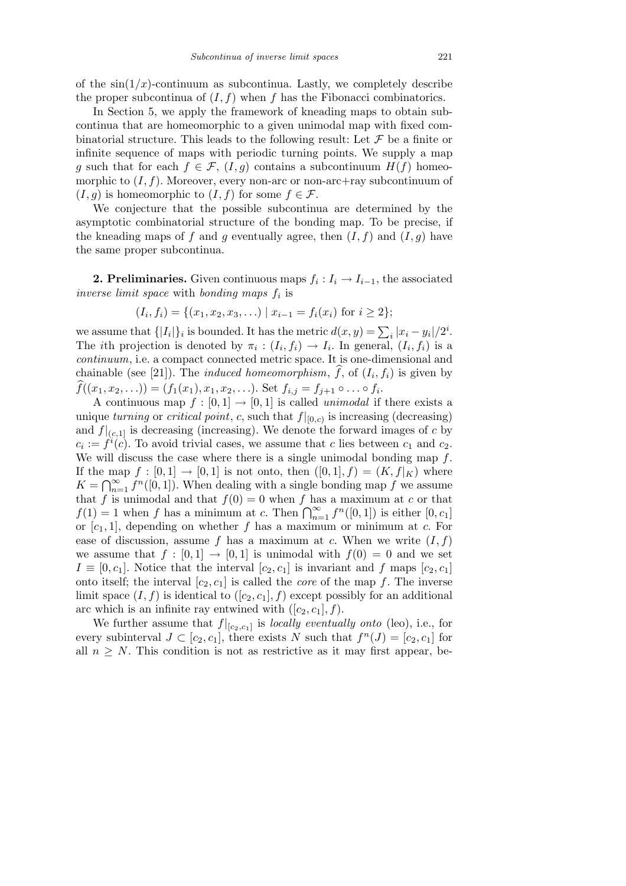of the  $\sin(1/x)$ -continuum as subcontinua. Lastly, we completely describe the proper subcontinua of  $(I, f)$  when  $f$  has the Fibonacci combinatorics.

In Section 5, we apply the framework of kneading maps to obtain subcontinua that are homeomorphic to a given unimodal map with fixed combinatorial structure. This leads to the following result: Let  $\mathcal F$  be a finite or infinite sequence of maps with periodic turning points. We supply a map *g* such that for each  $f \in \mathcal{F}$ ,  $(I, g)$  contains a subcontinuum  $H(f)$  homeomorphic to  $(I, f)$ . Moreover, every non-arc or non-arc+ray subcontinuum of  $(I, g)$  is homeomorphic to  $(I, f)$  for some  $f \in \mathcal{F}$ .

We conjecture that the possible subcontinua are determined by the asymptotic combinatorial structure of the bonding map. To be precise, if the kneading maps of f and g eventually agree, then  $(I, f)$  and  $(I, g)$  have the same proper subcontinua.

**2. Preliminaries.** Given continuous maps  $f_i: I_i \to I_{i-1}$ , the associated *inverse limit space* with *bonding maps f<sup>i</sup>* is

$$
(I_i, f_i) = \{(x_1, x_2, x_3, \ldots) \mid x_{i-1} = f_i(x_i) \text{ for } i \geq 2\};
$$

we assume that  $\{ |I_i|\}_i$  is bounded. It has the metric  $d(x, y) = \sum_i |x_i - y_i|/2^i$ . The *i*th projection is denoted by  $\pi_i : (I_i, f_i) \to I_i$ . In general,  $(I_i, f_i)$  is a *continuum*, i.e. a compact connected metric space. It is one-dimensional and chainable (see [21]). The *induced homeomorphism*,  $\hat{f}$ , of  $(I_i, f_i)$  is given by  $\widehat{f}((x_1, x_2, \ldots)) = (f_1(x_1), x_1, x_2, \ldots)$ . Set  $f_{i,j} = f_{j+1} \circ \ldots \circ f_i$ .

A continuous map  $f : [0,1] \rightarrow [0,1]$  is called *unimodal* if there exists a unique *turning* or *critical point*, *c*, such that  $f|_{[0,c)}$  is increasing (decreasing) and  $f|_{(c,1]}$  is decreasing (increasing). We denote the forward images of *c* by  $c_i := f^i(c)$ . To avoid trivial cases, we assume that *c* lies between  $c_1$  and  $c_2$ . We will discuss the case where there is a single unimodal bonding map *f*. If the map  $f : [0,1] \rightarrow [0,1]$  is not onto, then  $([0,1], f) = (K, f|_K)$  where  $K = \bigcap_{n=1}^{\infty} f^n([0,1])$ . When dealing with a single bonding map *f* we assume that *f* is unimodal and that  $f(0) = 0$  when *f* has a maximum at *c* or that *f*(1) = 1 when *f* has a minimum at *c*. Then  $\bigcap_{n=1}^{\infty} f^n([0,1])$  is either  $[0,c_1]$ or  $[c_1, 1]$ , depending on whether  $f$  has a maximum or minimum at  $c$ . For ease of discussion, assume  $f$  has a maximum at  $c$ . When we write  $(I, f)$ we assume that  $f : [0,1] \rightarrow [0,1]$  is unimodal with  $f(0) = 0$  and we set  $I \equiv [0, c_1]$ . Notice that the interval  $[c_2, c_1]$  is invariant and *f* maps  $[c_2, c_1]$ onto itself; the interval  $[c_2, c_1]$  is called the *core* of the map  $f$ . The inverse limit space  $(I, f)$  is identical to  $([c_2, c_1], f)$  except possibly for an additional arc which is an infinite ray entwined with  $([c_2, c_1], f)$ .

We further assume that  $f|_{[c_2,c_1]}$  is *locally eventually onto* (leo), i.e., for every subinterval  $J \subset [c_2, c_1]$ , there exists  $N$  such that  $f^{(n)}(J) = [c_2, c_1]$  for all  $n \geq N$ . This condition is not as restrictive as it may first appear, be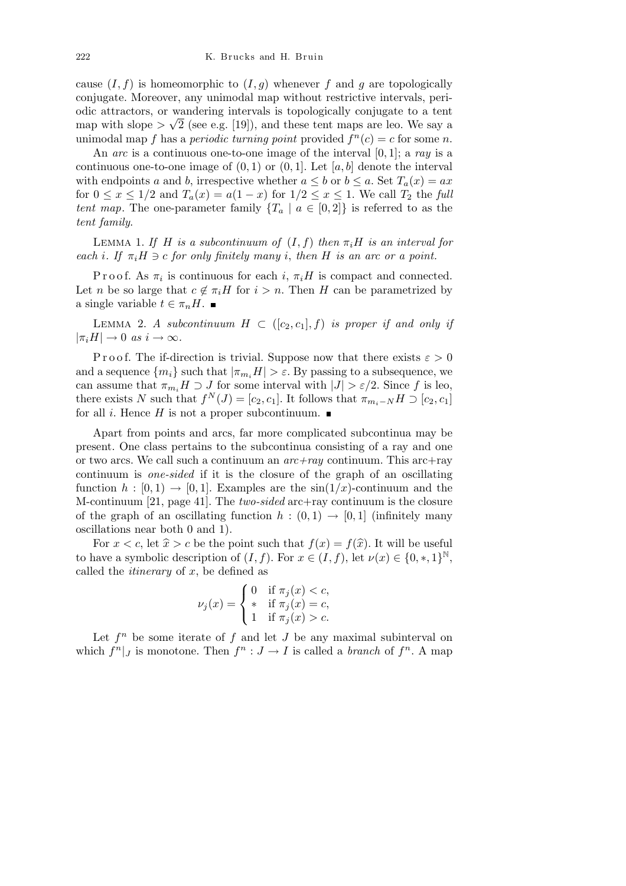cause  $(I, f)$  is homeomorphic to  $(I, g)$  whenever f and g are topologically conjugate. Moreover, any unimodal map without restrictive intervals, periodic attractors, or wandering intervals is topologically conjugate to a tent *√* map with slope  $>\sqrt{2}$  (see e.g. [19]), and these tent maps are leo. We say a unimodal map *f* has a *periodic turning point* provided  $f^{n}(c) = c$  for some *n*.

An *arc* is a continuous one-to-one image of the interval [0*,* 1]; a *ray* is a continuous one-to-one image of  $(0,1)$  or  $(0,1]$ . Let  $[a,b]$  denote the interval with endpoints *a* and *b*, irrespective whether  $a \leq b$  or  $b \leq a$ . Set  $T_a(x) = ax$ for  $0 \leq x \leq 1/2$  and  $T_a(x) = a(1-x)$  for  $1/2 \leq x \leq 1$ . We call  $T_2$  the *full tent map*. The one-parameter family  ${T_a \mid a \in [0,2]}$  is referred to as the *tent family*.

LEMMA 1. *If H is a subcontinuum of*  $(I, f)$  *then*  $\pi_i H$  *is an interval for each i*. If  $\pi_i H \ni c$  *for only finitely many i*, *then H is an arc or a point.* 

Proof. As  $\pi_i$  is continuous for each *i*,  $\pi_i H$  is compact and connected. Let *n* be so large that  $c \notin \pi_i H$  for  $i > n$ . Then *H* can be parametrized by a single variable  $t \in \pi_n H$ .

LEMMA 2. *A subcontinuum*  $H \subset (c_2, c_1], f$  *is proper if and only if*  $|\pi_i H| \to 0 \text{ as } i \to \infty.$ 

P r o o f. The if-direction is trivial. Suppose now that there exists  $\varepsilon > 0$ and a sequence  ${m_i}$  such that  $|\pi_{m_i} H| > \varepsilon$ . By passing to a subsequence, we can assume that  $\pi_{m_i} H \supset J$  for some interval with  $|J| > \varepsilon/2$ . Since f is leo, there exists *N* such that  $f^N(J) = [c_2, c_1]$ . It follows that  $\pi_{m_i-N} H \supset [c_2, c_1]$ for all *i*. Hence *H* is not a proper subcontinuum.  $\blacksquare$ 

Apart from points and arcs, far more complicated subcontinua may be present. One class pertains to the subcontinua consisting of a ray and one or two arcs. We call such a continuum an *arc+ray* continuum. This arc+ray continuum is *one-sided* if it is the closure of the graph of an oscillating function  $h : [0, 1] \rightarrow [0, 1]$ . Examples are the  $sin(1/x)$ -continuum and the M-continuum [21, page 41]. The *two-sided* arc+ray continuum is the closure of the graph of an oscillating function  $h : (0,1) \rightarrow [0,1]$  (infinitely many oscillations near both 0 and 1).

For  $x < c$ , let  $\hat{x} > c$  be the point such that  $f(x) = f(\hat{x})$ . It will be useful to have a symbolic description of  $(I, f)$ . For  $x \in (I, f)$ , let  $\nu(x) \in \{0, *, 1\}^{\mathbb{N}},$ called the *itinerary* of *x*, be defined as Ţ

$$
\nu_j(x) = \begin{cases} 0 & \text{if } \pi_j(x) < c, \\ * & \text{if } \pi_j(x) = c, \\ 1 & \text{if } \pi_j(x) > c. \end{cases}
$$

Let  $f^n$  be some iterate of  $f$  and let  $J$  be any maximal subinterval on which  $f^{n}|_{J}$  is monotone. Then  $f^{n}: J \to I$  is called a *branch* of  $f^{n}$ . A map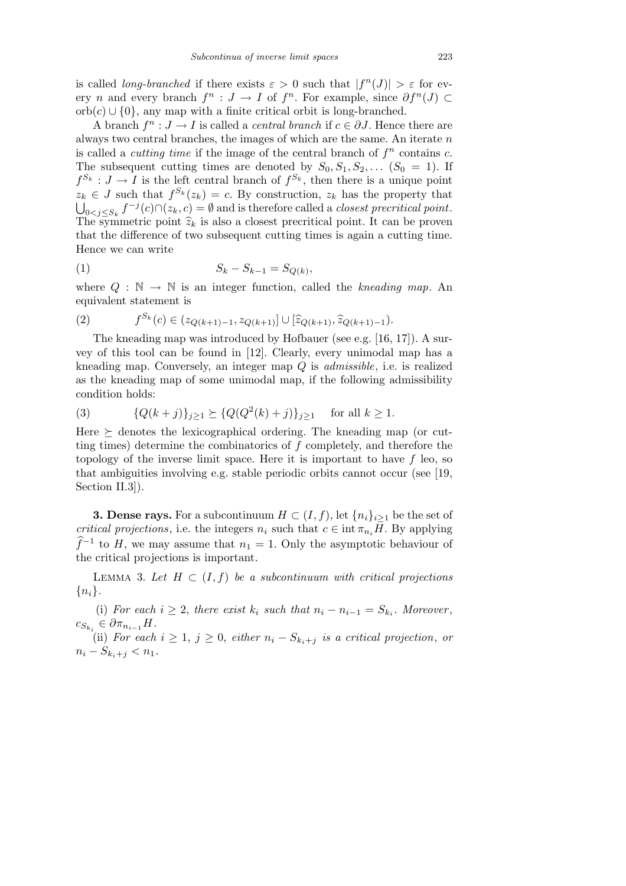is called *long-branched* if there exists  $\varepsilon > 0$  such that  $|f^{(n)}(J)| > \varepsilon$  for every *n* and every branch  $f^n : J \to I$  of  $f^n$ . For example, since  $\partial f^n(J) \subset$ orb(*c*) *∪ {*0*}*, any map with a finite critical orbit is long-branched.

A branch  $f^n : J \to I$  is called a *central branch* if  $c \in \partial J$ . Hence there are always two central branches, the images of which are the same. An iterate *n* is called a *cutting time* if the image of the central branch of  $f^n$  contains  $c$ . The subsequent cutting times are denoted by  $S_0, S_1, S_2, \ldots$   $(S_0 = 1)$ . If  $f^{S_k}: J \to I$  is the left central branch of  $f^{S_k}$ , then there is a unique point  $z_k \in J$  such that  $f^{S_k}(z_k) = c$ . By construction,  $z_k$  has the property that  $0 \leq j \leq S_k$   $f^{-j}(c) \cap (z_k, c) = \emptyset$  and is therefore called a *closest precritical point*. The symmetric point  $\hat{z}_k$  is also a closest precritical point. It can be proven that the difference of two subsequent cutting times is again a cutting time. Hence we can write

(1) 
$$
S_k - S_{k-1} = S_{Q(k)},
$$

where  $Q : \mathbb{N} \to \mathbb{N}$  is an integer function, called the *kneading map*. An equivalent statement is

(2) 
$$
f^{S_k}(c) \in (z_{Q(k+1)-1}, z_{Q(k+1)}) \cup [\widehat{z}_{Q(k+1)}, \widehat{z}_{Q(k+1)-1}).
$$

The kneading map was introduced by Hofbauer (see e.g. [16, 17]). A survey of this tool can be found in [12]. Clearly, every unimodal map has a kneading map. Conversely, an integer map *Q* is *admissible*, i.e. is realized as the kneading map of some unimodal map, if the following admissibility condition holds:

(3) 
$$
\{Q(k+j)\}_{j\geq 1} \succeq \{Q(Q^2(k)+j)\}_{j\geq 1} \text{ for all } k \geq 1.
$$

Here  $\succeq$  denotes the lexicographical ordering. The kneading map (or cutting times) determine the combinatorics of *f* completely, and therefore the topology of the inverse limit space. Here it is important to have *f* leo, so that ambiguities involving e.g. stable periodic orbits cannot occur (see [19, Section II.3]).

**3. Dense rays.** For a subcontinuum  $H \subset (I, f)$ , let  $\{n_i\}_{i\geq 1}$  be the set of *critical projections*, i.e. the integers  $n_i$  such that  $c \in \text{int } \pi_{n_i}H$ . By applying  $\hat{f}^{-1}$  to *H*, we may assume that  $n_1 = 1$ . Only the asymptotic behaviour of the critical projections is important.

LEMMA 3. Let  $H \subset (I, f)$  be a subcontinuum with critical projections *{ni}.*

(i) *For each*  $i \geq 2$ , *there exist*  $k_i$  *such that*  $n_i - n_{i-1} = S_{k_i}$ *. Moreover*,  $c_{S_{k_i}} \in \partial \pi_{n_{i-1}} H$ *.* 

(ii) For each  $i \geq 1$ ,  $j \geq 0$ , either  $n_i - S_{k_i+j}$  is a critical projection, or  $n_i - S_{k_i + j} < n_1$ .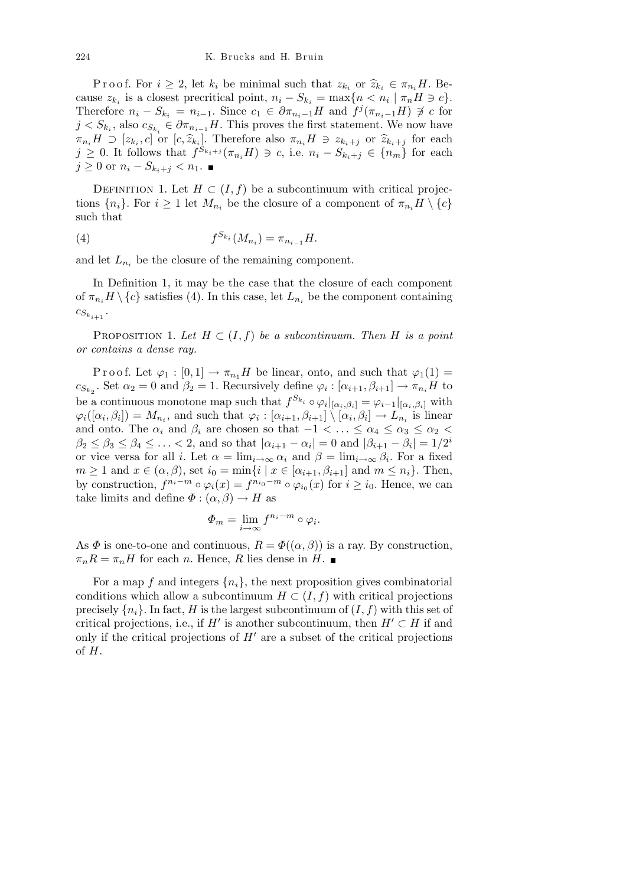Proof. For  $i \geq 2$ , let  $k_i$  be minimal such that  $z_{k_i}$  or  $\hat{z}_{k_i} \in \pi_{n_i}H$ . Because  $z_{k_i}$  is a closest precritical point,  $n_i - S_{k_i} = \max\{n < n_i \mid \pi_n H \ni c\}$ . Therefore  $n_i - S_{k_i} = n_{i-1}$ . Since  $c_1 \in \partial \pi_{n_i-1}H$  and  $f^j(\pi_{n_i-1}H) \not\supseteq c$  for  $j < S_{k_i}$ , also  $c_{S_{k_i}} \in \partial \pi_{n_{i-1}} H$ . This proves the first statement. We now have  $\pi_{n_i}H \supset [z_{k_i}, c]$  or  $[c, \widehat{z}_{k_i}]$ . Therefore also  $\pi_{n_i}H \ni z_{k_i+j}$  or  $\widehat{z}_{k_i+j}$  for each  $j \geq 0$ . It follows that  $f^{S_{k_i+j}}(\pi_{n_i}H) \ni c$ , i.e.  $n_i - S_{k_i+j} \in \{n_m\}$  for each *j* ≥ 0 or  $n_i - S_{k_i + j} < n_1$ . ■

DEFINITION 1. Let  $H \subset (I, f)$  be a subcontinuum with critical projections  $\{n_i\}$ . For  $i \geq 1$  let  $M_{n_i}$  be the closure of a component of  $\pi_{n_i}H \setminus \{c\}$ such that

(4) 
$$
f^{S_{k_i}}(M_{n_i}) = \pi_{n_{i-1}}H.
$$

and let  $L_{n_i}$  be the closure of the remaining component.

In Definition 1, it may be the case that the closure of each component of  $\pi_{n_i} H \setminus \{c\}$  satisfies (4). In this case, let  $L_{n_i}$  be the component containing  $c_{S_{k_{i+1}}}$ .

PROPOSITION 1. Let  $H \subset (I, f)$  be a subcontinuum. Then H is a point *or contains a dense ray.*

Proof. Let  $\varphi_1 : [0,1] \to \pi_{n_1}H$  be linear, onto, and such that  $\varphi_1(1) =$  $c_{S_{k_2}}$ . Set  $\alpha_2 = 0$  and  $\beta_2 = 1$ . Recursively define  $\varphi_i : [\alpha_{i+1}, \beta_{i+1}] \to \pi_{n_i}H$  to be a continuous monotone map such that  $f^{S_{k_i}} \circ \varphi_i|_{[\alpha_i,\beta_i]} = \varphi_{i-1}|_{[\alpha_i,\beta_i]}$  with  $\varphi_i([\alpha_i,\beta_i]) = M_{n_i}$ , and such that  $\varphi_i : [\alpha_{i+1},\beta_{i+1}] \setminus [\alpha_i,\beta_i] \to L_{n_i}$  is linear and onto. The  $\alpha_i$  and  $\beta_i$  are chosen so that  $-1 < \ldots \le \alpha_4 \le \alpha_3 \le \alpha_2 <$  $\beta_2 \leq \beta_3 \leq \beta_4 \leq \ldots < 2$ , and so that  $|\alpha_{i+1} - \alpha_i| = 0$  and  $|\beta_{i+1} - \beta_i| = 1/2^i$ or vice versa for all *i*. Let  $\alpha = \lim_{i \to \infty} \alpha_i$  and  $\beta = \lim_{i \to \infty} \beta_i$ . For a fixed  $m \geq 1$  and  $x \in (\alpha, \beta)$ , set  $i_0 = \min\{i \mid x \in [\alpha_{i+1}, \beta_{i+1}] \text{ and } m \leq n_i\}$ . Then, by construction,  $f^{n_i-m} \circ \varphi_i(x) = f^{n_{i_0}-m} \circ \varphi_{i_0}(x)$  for  $i \geq i_0$ . Hence, we can take limits and define  $\Phi : (\alpha, \beta) \to H$  as

$$
\varPhi_m=\lim_{i\to\infty}f^{n_i-m}\circ\varphi_i.
$$

As  $\Phi$  is one-to-one and continuous,  $R = \Phi((\alpha, \beta))$  is a ray. By construction,  $\pi_n R = \pi_n H$  for each *n*. Hence, *R* lies dense in *H*.

For a map f and integers  $\{n_i\}$ , the next proposition gives combinatorial conditions which allow a subcontinuum  $H \subset (I, f)$  with critical projections precisely  $\{n_i\}$ . In fact, *H* is the largest subcontinuum of  $(I, f)$  with this set of critical projections, i.e., if *H<sup>* $\prime$ *</sup>* is another subcontinuum, then  $H' \subset H$  if and only if the critical projections of  $H<sup>0</sup>$  are a subset of the critical projections of *H*.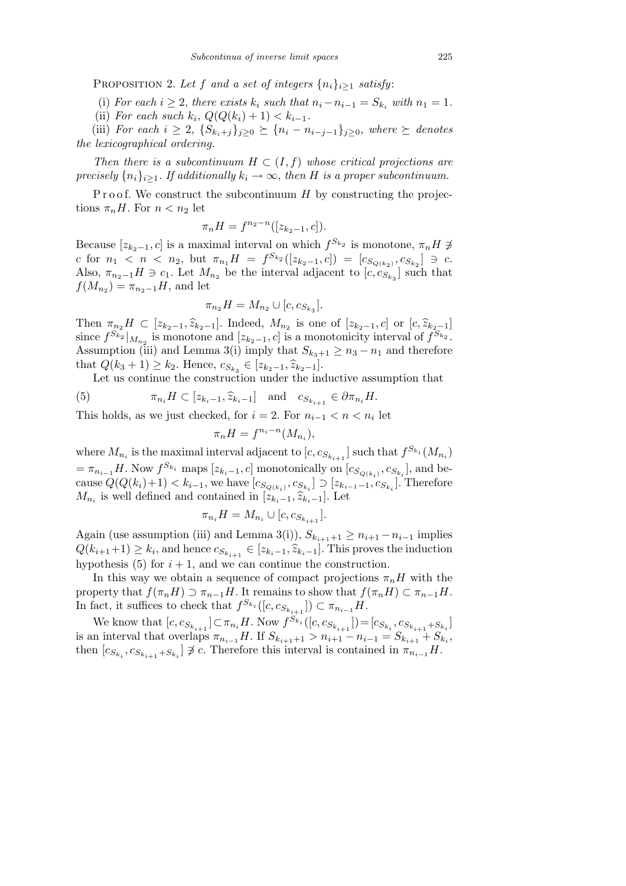PROPOSITION 2. Let *f* and a set of integers  $\{n_i\}_{i\geq 1}$  satisfy:

(i) For each  $i \geq 2$ , there exists  $k_i$  such that  $n_i - n_{i-1} = S_{k_i}$  with  $n_1 = 1$ .

(ii) *For each such*  $k_i$ ,  $Q(Q(k_i) + 1) < k_{i-1}$ .

(iii) For each  $i \geq 2$ ,  $\{S_{k_i+j}\}_{j\geq 0} \succeq \{n_i - n_{i-j-1}\}_{j\geq 0}$ , where  $\succeq$  denotes *the lexicographical ordering.*

*Then there is a subcontinuum*  $H \subset (I, f)$  whose critical projections are *precisely*  $\{n_i\}_{i\geq 1}$ *. If additionally*  $k_i \to \infty$ *, then H is a proper subcontinuum.* 

P r o o f. We construct the subcontinuum *H* by constructing the projections  $\pi_n H$ . For  $n < n_2$  let

$$
\pi_n H = f^{n_2 - n}([z_{k_2 - 1}, c]).
$$

Because  $[z_{k_2-1}, c]$  is a maximal interval on which  $f^{S_{k_2}}$  is monotone,  $\pi_n H \neq$ c for  $n_1 < n < n_2$ , but  $\pi_{n_1}H = f^{S_{k_2}}([z_{k_2-1}, c]) = [c_{S_{Q(k_2)}}, c_{S_{k_2}}] \ni c$ . Also,  $\pi_{n_2-1}H \ni c_1$ . Let  $M_{n_2}$  be the interval adjacent to  $[c, c_{S_{k_3}}]$  such that  $f(M_{n_2}) = \pi_{n_2-1}H$ , and let

$$
\pi_{n_2}H = M_{n_2} \cup [c, c_{S_{k_3}}].
$$

Then  $\pi_{n_2}H \subset [z_{k_2-1}, \hat{z}_{k_2-1}]$ . Indeed,  $M_{n_2}$  is one of  $[z_{k_2-1}, c]$  or  $[c, \hat{z}_{k_2-1}]$ since  $f^{S_{k_2}}|_{M_{n_2}}$  is monotone and  $[z_{k_2-1}, c]$  is a monotonicity interval of  $f^{S_{k_2}}$ . Assumption (iii) and Lemma 3(i) imply that  $S_{k_3+1} \geq n_3 - n_1$  and therefore that  $Q(k_3 + 1) \geq k_2$ . Hence,  $c_{S_{k_3}} \in [z_{k_2-1}, \hat{z}_{k_2-1}]$ .

Let us continue the construction under the inductive assumption that

(5) 
$$
\pi_{n_i} H \subset [z_{k_i-1}, \widehat{z}_{k_i-1}] \text{ and } c_{S_{k_{i+1}}} \in \partial \pi_{n_i} H.
$$

This holds, as we just checked, for  $i = 2$ . For  $n_{i-1} < n < n_i$  let

$$
\pi_n H = f^{n_i - n}(M_{n_i}),
$$

where  $M_{n_i}$  is the maximal interval adjacent to  $[c, c_{S_{k_{i+1}}}]$  such that  $f^{S_{k_i}}(M_{n_i})$  $= \pi_{n_{i-1}} H$ . Now  $f^{S_{k_i}}$  maps  $[z_{k_i-1}, c]$  monotonically on  $[c_{S_{Q(k_i)}}, c_{S_{k_i}}]$ , and because  $Q(Q(k_i)+1) < k_{i-1}$ , we have  $[c_{S_{Q(k_i)}}, c_{S_{k_i}}] \supset [z_{k_{i-1}-1}, c_{S_{k_i}}]$ . Therefore *M*<sub>*n*<sup>*i*</sup></sup> is well defined and contained in  $[z_{k_i-1}, \hat{z}_{k_i-1}]$ . Let</sub>

$$
\pi_{n_i} H = M_{n_i} \cup [c, c_{S_{k_{i+1}}}].
$$

Again (use assumption (iii) and Lemma 3(i)),  $S_{k_{i+1}+1} \geq n_{i+1} - n_{i-1}$  implies  $Q(k_{i+1}+1) \geq k_i$ , and hence  $c_{S_{k_{i+1}}} \in [z_{k_i-1}, \hat{z}_{k_i-1}]$ . This proves the induction hypothesis  $(5)$  for  $i + 1$ , and we can continue the construction.

In this way we obtain a sequence of compact projections  $\pi_n H$  with the property that  $f(\pi_n H) \supset \pi_{n-1} H$ . It remains to show that  $f(\pi_n H) \subset \pi_{n-1} H$ . In fact, it suffices to check that  $f^{S_{k_i}}([c, c_{S_{k_{i+1}}}] \subset \pi_{n_{i-1}}H$ .

We know that  $[c, c_{S_{k_{i+1}}}] \subset \pi_{n_i} H$ . Now  $f^{S_{k_i}}([c, c_{S_{k_{i+1}}}]) = [c_{S_{k_i}}, c_{S_{k_{i+1}}+S_{k_i}}]$ is an interval that overlaps  $\pi_{n_{i-1}}H$ . If  $S_{k_{i+1}+1} > n_{i+1} - n_{i-1} = S_{k_{i+1}} + S_{k_i}$ then  $[c_{S_{k_i}}, c_{S_{k_{i+1}}+S_{k_i}}] \not\supseteq c$ . Therefore this interval is contained in  $\pi_{n_{i-1}}H$ .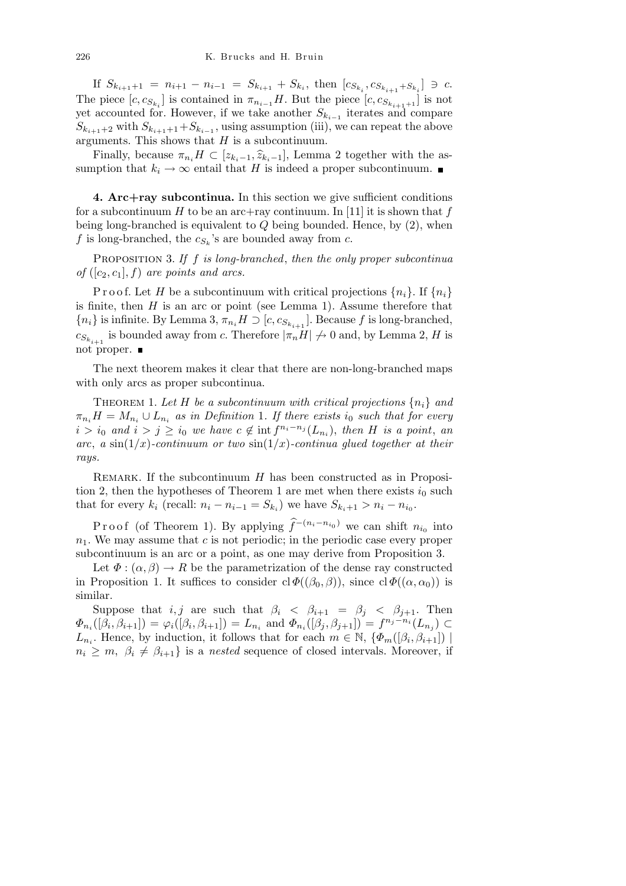If  $S_{k_{i+1}+1} = n_{i+1} - n_{i-1} = S_{k_{i+1}} + S_{k_i}$ , then  $[c_{S_{k_i}}, c_{S_{k_{i+1}}+S_{k_i}}] \ni c$ . The piece  $[c, c_{S_{k_i}}]$  is contained in  $\pi_{n_{i-1}}H$ . But the piece  $[c, c_{S_{k_{i+1}+1}}]$  is not yet accounted for. However, if we take another *S<sup>k</sup>i−*<sup>1</sup> iterates and compare  $S_{k_{i+1}+2}$  with  $S_{k_{i+1}+1}+S_{k_{i-1}}$ , using assumption (iii), we can repeat the above arguments. This shows that *H* is a subcontinuum.

Finally, because  $\pi_{n_i} H \subset [z_{k_i-1}, \hat{z}_{k_i-1}]$ , Lemma 2 together with the assumption that  $k_i \to \infty$  entail that *H* is indeed a proper subcontinuum.

**4. Arc+ray subcontinua.** In this section we give sufficient conditions for a subcontinuum  $H$  to be an arc+ray continuum. In [11] it is shown that  $f$ being long-branched is equivalent to *Q* being bounded. Hence, by (2), when f is long-branched, the  $c_{S_k}$ 's are bounded away from  $c$ .

Proposition 3. *If f is long-branched*, *then the only proper subcontinua of*  $([c_2, c_1], f)$  *are points and arcs.* 

Proof. Let *H* be a subcontinuum with critical projections  $\{n_i\}$ . If  $\{n_i\}$ is finite, then *H* is an arc or point (see Lemma 1). Assume therefore that  ${n_i}$  is infinite. By Lemma 3,  $\pi_{n_i} H \supset [c, c_{S_{k_{i+1}}}]$ . Because *f* is long-branched,  $c_{S_{k_{i+1}}}$  is bounded away from *c*. Therefore  $|\pi_n H| \nrightarrow 0$  and, by Lemma 2, *H* is not proper.

The next theorem makes it clear that there are non-long-branched maps with only arcs as proper subcontinua.

THEOREM 1. Let H be a subcontinuum with critical projections  $\{n_i\}$  and  $\pi_{n_i}H = M_{n_i} \cup L_{n_i}$  *as in Definition* 1*. If there exists i*<sub>0</sub> *such that for every*  $i > i_0$  and  $i > j \geq i_0$  we have  $c \notin \text{int } f^{n_i - n_j}(L_{n_i}),$  then *H* is a point, an *arc*, *a* sin( $1/x$ )-continuum or two sin( $1/x$ )-continua glued together at their *rays.*

REMARK. If the subcontinuum *H* has been constructed as in Proposition 2, then the hypotheses of Theorem 1 are met when there exists  $i_0$  such that for every  $k_i$  (recall:  $n_i - n_{i-1} = S_{k_i}$ ) we have  $S_{k_i+1} > n_i - n_{i_0}$ .

Proof (of Theorem 1). By applying  $\hat{f}^{-(n_i - n_{i_0})}$  we can shift  $n_{i_0}$  into *n*1. We may assume that *c* is not periodic; in the periodic case every proper subcontinuum is an arc or a point, as one may derive from Proposition 3.

Let  $\Phi : (\alpha, \beta) \to R$  be the parametrization of the dense ray constructed in Proposition 1. It suffices to consider  $cl \Phi((\beta_0, \beta))$ , since  $cl \Phi((\alpha, \alpha_0))$  is similar.

Suppose that *i, j* are such that  $\beta_i$  <  $\beta_{i+1}$  =  $\beta_j$  <  $\beta_{j+1}$ . Then  $\Phi_{n_i}([\beta_i, \beta_{i+1}]) = \varphi_i([\beta_i, \beta_{i+1}]) = L_{n_i}$  and  $\Phi_{n_i}([\beta_j, \beta_{j+1}]) = f^{n_j - n_i}(L_{n_j}) \subset$ *L*<sub>*n*<sup>*i*</sup></sub>. Hence, by induction, it follows that for each  $m \in \mathbb{N}$ ,  $\{\Phi_m([\beta_i, \beta_{i+1}]) |$  $n_i \geq m$ ,  $\beta_i \neq \beta_{i+1}$  is a *nested* sequence of closed intervals. Moreover, if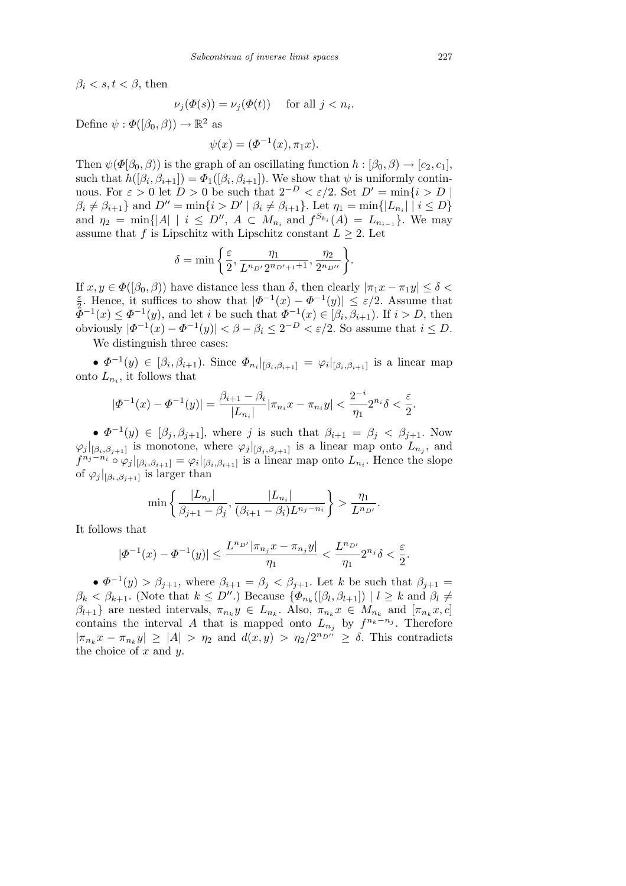$\beta_i < s, t < \beta$ , then

$$
\nu_j(\Phi(s)) = \nu_j(\Phi(t)) \quad \text{ for all } j < n_i.
$$

Define  $\psi : \Phi([\beta_0, \beta)) \to \mathbb{R}^2$  as

$$
\psi(x) = (\Phi^{-1}(x), \pi_1 x).
$$

Then  $\psi(\Phi|\beta_0, \beta)$  is the graph of an oscillating function  $h : [\beta_0, \beta] \rightarrow [c_2, c_1]$ , such that  $h([\beta_i, \beta_{i+1}]) = \Phi_1([\beta_i, \beta_{i+1}])$ . We show that  $\psi$  is uniformly continuous. For  $\varepsilon > 0$  let  $D > 0$  be such that  $2^{-D} < \varepsilon/2$ . Set  $D' = \min\{i > D \mid \varepsilon$  $\beta_i \neq \beta_{i+1}$  and  $D'' = \min\{i > D' \mid \beta_i \neq \beta_{i+1}\}\$ . Let  $\eta_1 = \min\{|L_{n_i}| \mid i \leq D\}$ and  $\eta_2 = \min\{|A| \mid i \leq D''$ ,  $A \subset M_{n_i}$  and  $f^{S_{k_i}}(A) = L_{n_{i-1}}\}$ . We may assume that *f* is Lipschitz with Lipschitz constant  $L \geq 2$ . Let

$$
\delta = \min \left\{ \frac{\varepsilon}{2}, \frac{\eta_1}{L^{n_{D'}} 2^{n_{D'+1}+1}}, \frac{\eta_2}{2^{n_{D''}}} \right\}.
$$

If  $x, y \in \Phi([\beta_0, \beta))$  have distance less than  $\delta$ , then clearly  $|\pi_1 x - \pi_1 y| \leq \delta$ *ε*  $\frac{\varepsilon}{2}$ . Hence, it suffices to show that  $|\Phi^{-1}(x) - \Phi^{-1}(y)| \leq \varepsilon/2$ . Assume that  $\tilde{\Phi}^{-1}(x) \leq \Phi^{-1}(y)$ , and let *i* be such that  $\Phi^{-1}(x) \in [\beta_i, \beta_{i+1})$ . If  $i > D$ , then obviously  $|\Phi^{-1}(x) - \Phi^{-1}(y)| < \beta - \beta_i \leq 2^{-D} < \varepsilon/2$ . So assume that  $i \leq D$ .

We distinguish three cases:

•  $\Phi^{-1}(y) \in [\beta_i, \beta_{i+1})$ . Since  $\Phi_{n_i}|_{[\beta_i, \beta_{i+1}]} = \varphi_i|_{[\beta_i, \beta_{i+1}]}$  is a linear map onto  $L_{n_i}$ , it follows that

$$
|\Phi^{-1}(x) - \Phi^{-1}(y)| = \frac{\beta_{i+1} - \beta_i}{|L_{n_i}|} |\pi_{n_i} x - \pi_{n_i} y| < \frac{2^{-i}}{\eta_1} 2^{n_i} \delta < \frac{\varepsilon}{2}.
$$

•  $\Phi^{-1}(y) \in [\beta_j, \beta_{j+1}]$ , where *j* is such that  $\beta_{i+1} = \beta_j < \beta_{j+1}$ . Now  $\varphi_j|_{[\beta_i,\beta_{j+1}]}$  is monotone, where  $\varphi_j|_{[\beta_j,\beta_{j+1}]}$  is a linear map onto  $L_{n_j}$ , and  $f^{n_j - n_i} \circ \varphi_j|_{[\beta_i, \beta_{i+1}]} = \varphi_i|_{[\beta_i, \beta_{i+1}]}$  is a linear map onto  $L_{n_i}$ . Hence the slope of  $\varphi_j|_{[\beta_i,\beta_{j+1}]}$  is larger than

$$
\min\left\{\frac{|L_{n_j}|}{\beta_{j+1}-\beta_j}, \frac{|L_{n_i}|}{(\beta_{i+1}-\beta_i)L^{n_j-n_i}}\right\} > \frac{\eta_1}{L^{n_{D'}}}.
$$

It follows that

$$
|\varPhi^{-1}(x)-\varPhi^{-1}(y)|\leq \frac{L^{n_{D'}}|\pi_{n_j}x-\pi_{n_j}y|}{\eta_1}<\frac{L^{n_{D'}}}{\eta_1}2^{n_j}\delta<\frac{\varepsilon}{2}.
$$

•  $\Phi^{-1}(y) > \beta_{j+1}$ , where  $\beta_{i+1} = \beta_j < \beta_{j+1}$ . Let *k* be such that  $\beta_{j+1} =$  $\beta_k < \beta_{k+1}$ . (Note that  $k \leq D''$ .) Because  $\{\Phi_{n_k}([\beta_l, \beta_{l+1}]) \mid l \geq k \text{ and } \beta_l \neq l\}$  $\beta_{l+1}$  are nested intervals,  $\pi_{n_k} y \in L_{n_k}$ . Also,  $\pi_{n_k} x \in M_{n_k}$  and  $[\pi_{n_k} x, c]$ contains the interval *A* that is mapped onto  $L_{n_j}$  by  $f^{n_k - n_j}$ . Therefore  $|\pi_{n_k} x - \pi_{n_k} y| \geq |A| > \eta_2$  and  $d(x, y) > \eta_2/2^{n_D n} \geq \delta$ . This contradicts the choice of *x* and *y*.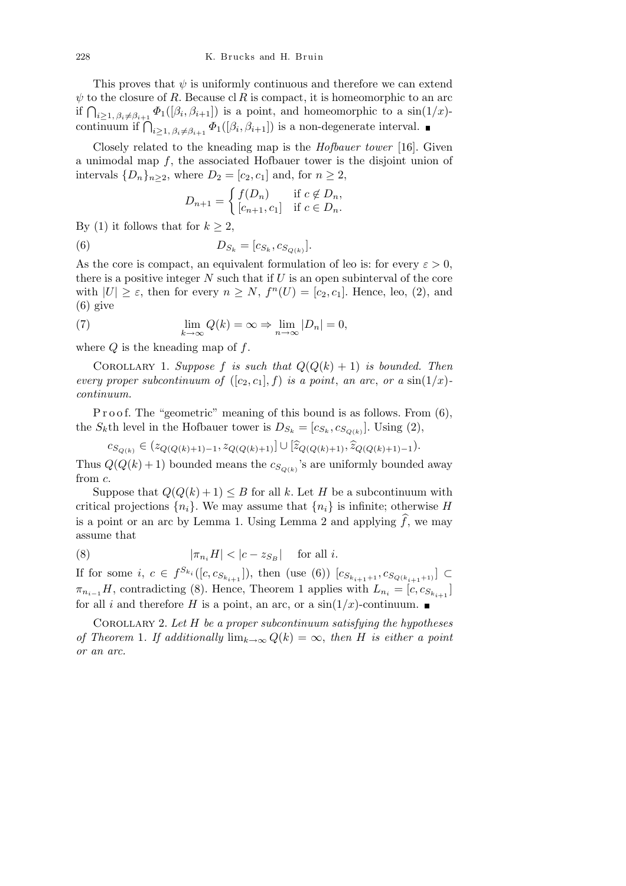This proves that  $\psi$  is uniformly continuous and therefore we can extend  $\psi$  to the closure of *R*. Because cl *R* is compact, it is homeomorphic to an arc  $\psi$  to the closure of *R*. Because cf *R* is compact, it is nomeomorphic to an arc<br>if  $\bigcap_{i\geq 1, \beta_i\neq \beta_{i+1}} \Phi_1([\beta_i, \beta_{i+1}])$  is a point, and homeomorphic to a sin(1/*x*)continuum if  $\bigcap_{i\geq 1, \beta_i\neq \beta_{i+1}} \Phi_1([\beta_i, \beta_{i+1}])$  is a non-degenerate interval.

Closely related to the kneading map is the *Hofbauer tower* [16]. Given a unimodal map *f*, the associated Hofbauer tower is the disjoint union of intervals  ${D_n}_{n \geq 2}$ , where  $D_2 = [c_2, c_1]$  and, for  $n \geq 2$ ,

$$
D_{n+1} = \begin{cases} f(D_n) & \text{if } c \notin D_n, \\ [c_{n+1}, c_1] & \text{if } c \in D_n. \end{cases}
$$

By (1) it follows that for  $k \geq 2$ ,

(6) 
$$
D_{S_k} = [c_{S_k}, c_{S_{Q(k)}}].
$$

As the core is compact, an equivalent formulation of leo is: for every  $\varepsilon > 0$ , there is a positive integer *N* such that if *U* is an open subinterval of the core with  $|U| \geq \varepsilon$ , then for every  $n \geq N$ ,  $f^{n}(U) = [c_2, c_1]$ . Hence, leo, (2), and (6) give

(7) 
$$
\lim_{k \to \infty} Q(k) = \infty \Rightarrow \lim_{n \to \infty} |D_n| = 0,
$$

where *Q* is the kneading map of *f*.

COROLLARY 1. *Suppose f is such that*  $Q(Q(k) + 1)$  *is bounded. Then every proper subcontinuum of*  $([c_2, c_1], f)$  *is a point, an arc, or a* sin $(1/x)$ *continuum.*

P r o o f. The "geometric" meaning of this bound is as follows. From (6), the *S*<sup>*k*</sup>th level in the Hofbauer tower is  $D_{S_k} = [c_{S_k}, c_{S_{Q(k)}}]$ . Using (2),

 $c_{S_{Q(k)}} \in (z_{Q(Q(k)+1)-1}, z_{Q(Q(k)+1)}] \cup [\widehat{z}_{Q(Q(k)+1)}, \widehat{z}_{Q(Q(k)+1)-1}).$ 

Thus  $Q(Q(k) + 1)$  bounded means the  $c_{S_{Q(k)}}$ 's are uniformly bounded away from *c*.

Suppose that  $Q(Q(k) + 1) \leq B$  for all k. Let H be a subcontinuum with critical projections  $\{n_i\}$ . We may assume that  $\{n_i\}$  is infinite; otherwise *H* is a point or an arc by Lemma 1. Using Lemma 2 and applying  $\widehat{f}$ , we may assume that

(8) 
$$
|\pi_{n_i} H| < |c - z_{S_B}| \quad \text{for all } i.
$$

If for some *i*, *c* ∈  $f^{S_{k_i}}([c, c_{S_{k_{i+1}}}])$ , then (use (6))  $[c_{S_{k_{i+1}+1}}, c_{S_{Q(k_{i+1}+1)}}]$  ⊂  $\pi_{n_{i-1}}H$ , contradicting (8). Hence, Theorem 1 applies with  $L_{n_i} = [c, c_{S_{k_{i+1}}}]$ for all *i* and therefore *H* is a point, an arc, or a  $\sin(1/x)$ -continuum.

Corollary 2. *Let H be a proper subcontinuum satisfying the hypotheses of Theorem* 1*. If additionally*  $\lim_{k\to\infty} Q(k) = \infty$ , then *H is either a point or an arc.*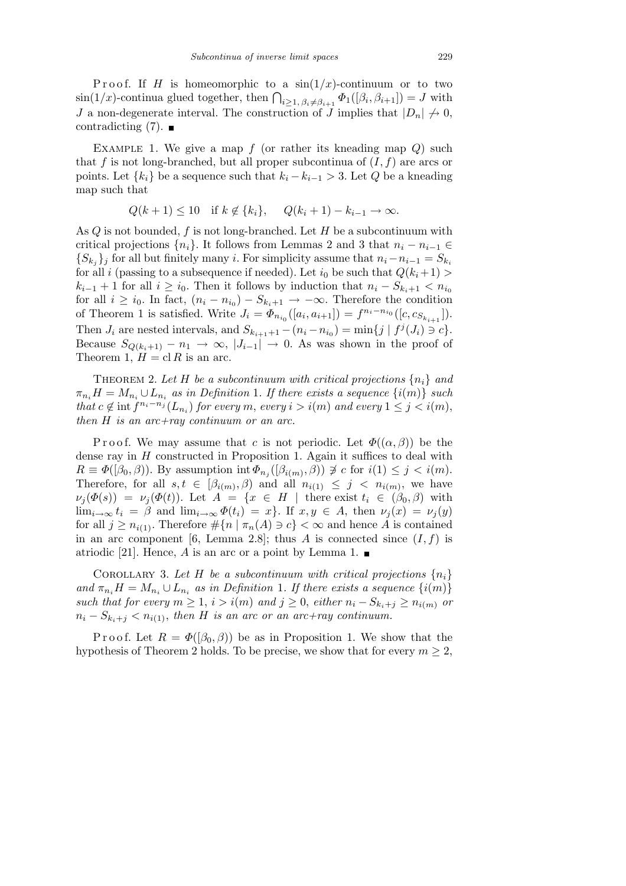Proof. If *H* is homeomorphic to a  $sin(1/x)$ -continuum or to two  $\sin(1/x)$ -continua glued together, then  $\bigcap_{i\geq 1, \beta_i\neq \beta_{i+1}} \Phi_1([\beta_i, \beta_{i+1}]) = J$  with *J* a non-degenerate interval. The construction of *J* implies that  $|D_n| \nrightarrow 0$ , contradicting  $(7)$ .

Example 1. We give a map *f* (or rather its kneading map *Q*) such that  $f$  is not long-branched, but all proper subcontinua of  $(I, f)$  are arcs or points. Let  $\{k_i\}$  be a sequence such that  $k_i - k_{i-1} > 3$ . Let *Q* be a kneading map such that

$$
Q(k+1) \le 10
$$
 if  $k \notin \{k_i\}$ ,  $Q(k_i+1) - k_{i-1} \to \infty$ .

As *Q* is not bounded, *f* is not long-branched. Let *H* be a subcontinuum with critical projections  $\{n_i\}$ . It follows from Lemmas 2 and 3 that  $n_i - n_{i-1} \in$  ${S_{k_j}}$ <sup>*j*</sup> for all but finitely many *i*. For simplicity assume that  $n_i - n_{i-1} = S_{k_i}$ for all *i* (passing to a subsequence if needed). Let  $i_0$  be such that  $Q(k_i+1)$ *k*<sub>*i*</sub>−1 + 1 for all *i*  $\geq i_0$ . Then it follows by induction that  $n_i - S_{k_i+1} < n_{i_0}$ for all  $i \geq i_0$ . In fact,  $(n_i - n_{i_0}) - S_{k_i+1} \to -\infty$ . Therefore the condition of Theorem 1 is satisfied. Write  $J_i = \Phi_{n_{i_0}}([a_i, a_{i+1}]) = f^{n_i - n_{i_0}}([c, c_{S_{k_{i+1}}}])$ . Then  $J_i$  are nested intervals, and  $S_{k_{i+1}+1} - (n_i - n_{i_0}) = \min\{j \mid f^j(J_i) \ni c\}.$ Because  $S_{Q(k_i+1)} - n_1 \rightarrow \infty$ ,  $|J_{i-1}| \rightarrow 0$ . As was shown in the proof of Theorem 1,  $H = \text{cl } R$  is an arc.

THEOREM 2. Let H be a subcontinuum with critical projections  $\{n_i\}$  and  $\pi_{n_i}H = M_{n_i} \cup L_{n_i}$  as in Definition 1*. If there exists a sequence*  $\{i(m)\}$  *such* that  $c \notin \text{int } f^{n_i - n_j}(L_{n_i})$  for every m, every  $i > i(m)$  and every  $1 \leq j < i(m)$ , *then H is an arc+ray continuum or an arc.*

Proof. We may assume that *c* is not periodic. Let  $\Phi((\alpha, \beta))$  be the dense ray in *H* constructed in Proposition 1. Again it suffices to deal with  $R \equiv \Phi([\beta_0, \beta))$ . By assumption int  $\Phi_{n_j}([\beta_{i(m)}, \beta)) \not\supseteq c$  for  $i(1) \leq j < i(m)$ . Therefore, for all  $s, t \in [\beta_{i(m)}, \beta)$  and all  $n_{i(1)} \leq j \leq n_{i(m)}$ , we have  $\nu_j(\Phi(s)) = \nu_j(\Phi(t))$ . Let  $A = \{x \in H \mid \text{there exist } t_i \in (\beta_0, \beta) \text{ with } t_i \in (\beta_0, \beta_0) \}$ lim<sub>*i*→∞</sub>  $t_i = \beta$  and lim<sub>*i→∞*</sub>  $\Phi(t_i) = x$ }. If  $x, y \in A$ , then  $\nu_i(x) = \nu_i(y)$ for all  $j \geq n_{i(1)}$ . Therefore  $\#\{n \mid \pi_n(A) \ni c\} < \infty$  and hence *A* is contained in an arc component [6, Lemma 2.8]; thus *A* is connected since  $(I, f)$  is atriodic [21]. Hence, *A* is an arc or a point by Lemma 1.  $\blacksquare$ 

COROLLARY 3. Let H be a subcontinuum with critical projections  $\{n_i\}$ *and*  $\pi_{n_i} H = M_{n_i} \cup L_{n_i}$  *as in Definition* 1*. If there exists a sequence*  $\{i(m)\}$ *such that for every*  $m \ge 1$ ,  $i > i(m)$  *and*  $j \ge 0$ , *either*  $n_i - S_{k_i + j} \ge n_{i(m)}$  *or*  $n_i - S_{k_i + j} < n_{i(1)}$ , then *H* is an arc or an arc+ray continuum.

Proof. Let  $R = \Phi([\beta_0, \beta))$  be as in Proposition 1. We show that the hypothesis of Theorem 2 holds. To be precise, we show that for every  $m \geq 2$ ,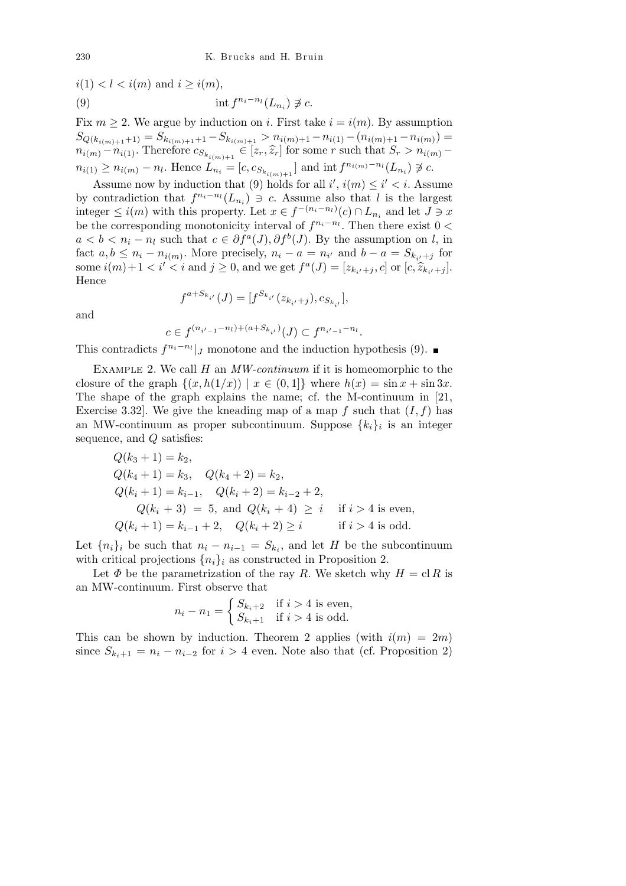$$
i(1) < l < i(m) \text{ and } i \geq i(m),
$$
\n
$$
(9) \qquad \text{int } f^{n_i - n_l}(L_{n_i}) \not\supsetneq c.
$$

Fix  $m \geq 2$ . We argue by induction on *i*. First take  $i = i(m)$ . By assumption  $S_{Q(k_{i(m)+1}+1)} = S_{k_{i(m)+1}+1} - S_{k_{i(m)+1}} > n_{i(m)+1} - n_{i(1)} - (n_{i(m)+1} - n_{i(m)}) =$  $n_{i(m)} - n_{i(1)}$ . Therefore  $c_{S_{k_{i(m)+1}}} \in [z_r, \hat{z}_r]$  for some r such that  $S_r > n_{i(m)}$  $n_{i(1)} \ge n_{i(m)} - n_l$ . Hence  $L_{n_i} = [c, c_{S_{k_{i(m)+1}}}]$  and int  $f^{n_{i(m)}-n_l}(L_{n_i}) \not\supseteq c$ .

Assume now by induction that (9) holds for all  $i'$ ,  $i(m) \leq i' < i$ . Assume by contradiction that  $f^{n_i - n_l}(L_{n_i}) \ni c$ . Assume also that *l* is the largest integer  $\leq i(m)$  with this property. Let  $x \in f^{-(n_i - n_l)}(c) \cap L_{n_i}$  and let *J* ∋ *x* be the corresponding monotonicity interval of  $f^{n_i - n_l}$ . Then there exist  $0 <$  $a < b < n_i - n_l$  such that  $c \in \partial f^a(J)$ ,  $\partial f^b(J)$ . By the assumption on *l*, in fact  $a, b \leq n_i - n_{i(m)}$ . More precisely,  $n_i - a = n_{i'}$  and  $b - a = S_{k_{i'}+j}$  for some  $i(m)+1 < i' < i$  and  $j \ge 0$ , and we get  $f^a(J) = [z_{k_{i'}+j}, c]$  or  $[c, \widehat{z}_{k_{i'}+j}]$ . Hence

and

$$
f^{a+S_{k_{i'}}}(J) = [f^{S_{k_{i'}}}(z_{k_{i'}+j}), c_{S_{k_{i'}}}],
$$

$$
c \in f^{(n_{i'-1}-n_l)+(a+S_{k_{i'}})}(J) \subset f^{n_{i'-1}-n_l}.
$$

This contradicts  $f^{n_i - n_l}$  *j* monotone and the induction hypothesis (9).

Example 2. We call *H* an *MW-continuum* if it is homeomorphic to the closure of the graph  $\{(x, h(1/x)) | x \in (0,1]\}$  where  $h(x) = \sin x + \sin 3x$ . The shape of the graph explains the name; cf. the M-continuum in [21, Exercise 3.32. We give the kneading map of a map  $f$  such that  $(I, f)$  has an MW-continuum as proper subcontinuum. Suppose *{ki}<sup>i</sup>* is an integer sequence, and *Q* satisfies:

$$
Q(k_3 + 1) = k_2,
$$
  
\n
$$
Q(k_4 + 1) = k_3, \quad Q(k_4 + 2) = k_2,
$$
  
\n
$$
Q(k_i + 1) = k_{i-1}, \quad Q(k_i + 2) = k_{i-2} + 2,
$$
  
\n
$$
Q(k_i + 3) = 5, \text{ and } Q(k_i + 4) \ge i \quad \text{if } i > 4 \text{ is even,}
$$
  
\n
$$
Q(k_i + 1) = k_{i-1} + 2, \quad Q(k_i + 2) \ge i \quad \text{if } i > 4 \text{ is odd.}
$$

Let  ${n_i}_i$  be such that  $n_i - n_{i-1} = S_{k_i}$ , and let *H* be the subcontinuum with critical projections  $\{n_i\}_i$  as constructed in Proposition 2.

Let  $\Phi$  be the parametrization of the ray *R*. We sketch why  $H = \text{cl } R$  is an MW-continuum. First observe that

$$
n_i - n_1 = \begin{cases} S_{k_i+2} & \text{if } i > 4 \text{ is even,} \\ S_{k_i+1} & \text{if } i > 4 \text{ is odd.} \end{cases}
$$

This can be shown by induction. Theorem 2 applies (with  $i(m) = 2m$ ) since  $S_{k_i+1} = n_i - n_{i-2}$  for  $i > 4$  even. Note also that (cf. Proposition 2)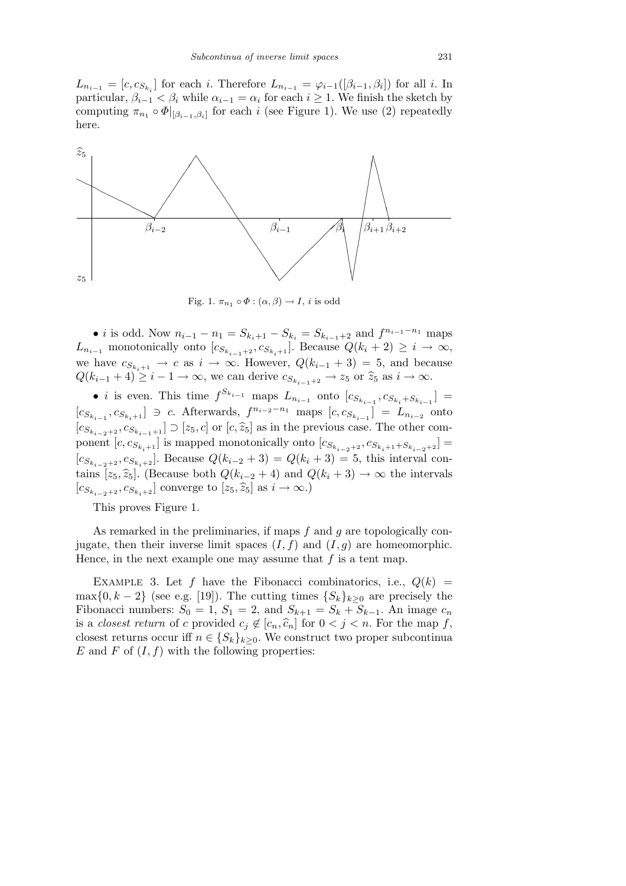$L_{n_{i-1}} = [c, c_{S_{k_i}}]$  for each *i*. Therefore  $L_{n_{i-1}} = \varphi_{i-1}([\beta_{i-1}, \beta_i])$  for all *i*. In particular,  $\beta_{i-1} < \beta_i$  while  $\alpha_{i-1} = \alpha_i$  for each  $i \geq 1$ . We finish the sketch by computing  $\pi_{n_1} \circ \Phi|_{[\beta_{i-1},\beta_i]}$  for each *i* (see Figure 1). We use (2) repeatedly here.



Fig. 1.  $\pi_{n_1} \circ \Phi : (\alpha, \beta) \to I$ , *i* is odd

• *i* is odd. Now  $n_{i-1} - n_1 = S_{k_i+1} - S_{k_i} = S_{k_{i-1}+2}$  and  $f^{n_{i-1}-n_1}$  maps *L*<sub>n<sub>*i*</sub>−1</sub> monotonically onto  $[c_{S_{k_{i-1}+2}}, c_{S_{k_i+1}}]$ . Because  $Q(k_i + 2) \geq i \rightarrow \infty$ , we have  $c_{S_{k,i+1}} \to c$  as  $i \to \infty$ . However,  $Q(k_{i-1} + 3) = 5$ , and because  $Q(k_{i-1}+4) \geq i-1 \rightarrow \infty$ , we can derive  $c_{S_{k_{i-1}+2}} \rightarrow z_5$  or  $\hat{z}_5$  as  $i \rightarrow \infty$ .

• *i* is even. This time  $f^{S_{k_{i-1}}}$  maps  $L_{n_{i-1}}$  onto  $[c_{S_{k_{i-1}}}, c_{S_{k_i}}+s_{k_{i-1}}]$  =  $[c_{S_{k_{i-1}}}, c_{S_{k_i+1}}] \ni c$ . Afterwards,  $f^{n_{i-2}-n_1}$  maps  $[c, c_{S_{k_{i-1}}}] = L_{n_{i-2}}$  onto  $[c_{S_{k_{i-2}+2}}, c_{S_{k_{i-1}+1}}]$  ⊃ [ $z_5, c$ ] or [ $c, \hat{z}_5$ ] as in the previous case. The other component  $[c, c_{S_{k_i+1}}]$  is mapped monotonically onto  $[c_{S_{k_{i-2}+2}}, c_{S_{k_i+1}+S_{k_{i-2}+2}}]$  =  $[c_{S_{k_{i-2}+2}}, c_{S_{k_i+2}}]$ . Because  $Q(k_{i-2}+3) = Q(k_i+3) = 5$ , this interval contains  $[z_5, \hat{z}_5]$ . (Because both  $Q(k_{i-2} + 4)$  and  $Q(k_i + 3) \rightarrow \infty$  the intervals  $[c_{S_{k_i-2}+2}, c_{S_{k_i+2}}]$  converge to  $[z_5, \hat{z}_5]$  as  $i \to ∞$ .)

This proves Figure 1.

As remarked in the preliminaries, if maps *f* and *g* are topologically conjugate, then their inverse limit spaces  $(I, f)$  and  $(I, g)$  are homeomorphic. Hence, in the next example one may assume that *f* is a tent map.

EXAMPLE 3. Let f have the Fibonacci combinatorics, i.e.,  $Q(k)$  =  $\max\{0, k-2\}$  (see e.g. [19]). The cutting times  $\{S_k\}_{k\geq 0}$  are precisely the Fibonacci numbers:  $S_0 = 1$ ,  $S_1 = 2$ , and  $S_{k+1} = S_k + S_{k-1}$ . An image  $c_n$ is a *closest return* of *c* provided  $c_j \notin [c_n, \hat{c}_n]$  for  $0 < j < n$ . For the map *f*, closest returns occur iff  $n \in \{S_k\}_{k \geq 0}$ . We construct two proper subcontinua  $E$  and  $F$  of  $(I, f)$  with the following properties: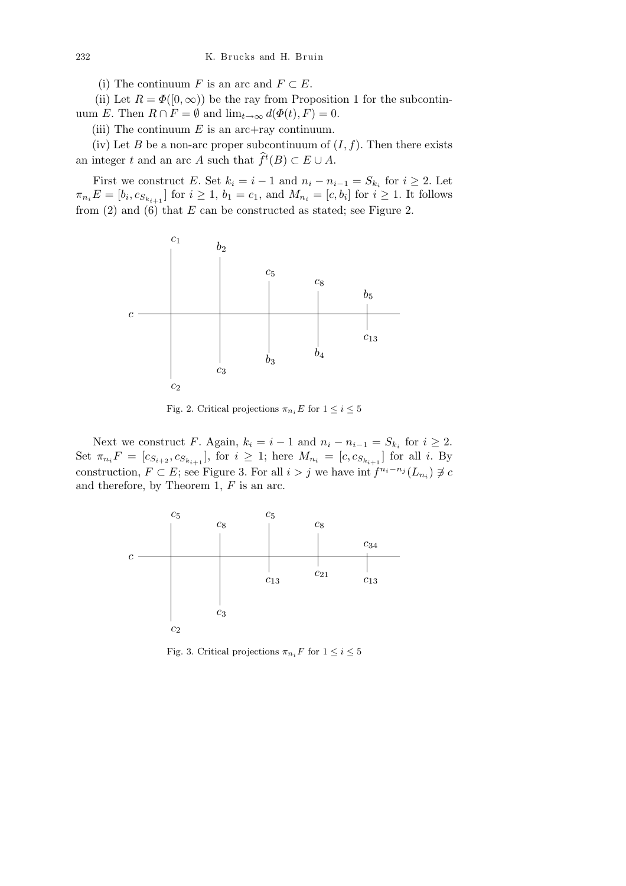(i) The continuum *F* is an arc and  $F \subset E$ .

(ii) Let  $R = \Phi([0, \infty))$  be the ray from Proposition 1 for the subcontinuum *E*. Then  $R \cap F = \emptyset$  and  $\lim_{t \to \infty} d(\Phi(t), F) = 0$ .

(iii) The continuum *E* is an arc+ray continuum.

(iv) Let *B* be a non-arc proper subcontinuum of  $(I, f)$ . Then there exists an integer *t* and an arc *A* such that  $\widehat{f}^t(B) \subset E \cup A$ .

First we construct *E*. Set  $k_i = i - 1$  and  $n_i - n_{i-1} = S_{k_i}$  for  $i \geq 2$ . Let  $\pi_{n_i}E = [b_i, c_{S_{k_{i+1}}}$  for  $i \ge 1, b_1 = c_1$ , and  $M_{n_i} = [c, b_i]$  for  $i \ge 1$ . It follows from (2) and (6) that *E* can be constructed as stated; see Figure 2.



Fig. 2. Critical projections  $\pi_{n_i} E$  for  $1 \leq i \leq 5$ 

Next we construct *F*. Again,  $k_i = i - 1$  and  $n_i - n_{i-1} = S_{k_i}$  for  $i \geq 2$ . Set  $\pi_{n_i}F = [c_{S_{i+2}}, c_{S_{k_{i+1}}}]$ , for  $i \geq 1$ ; here  $M_{n_i} = [c, c_{S_{k_{i+1}}}]$  for all *i*. By construction,  $F \subset E$ ; see Figure 3. For all  $i > j$  we have int  $f^{n_i - n_j}(L_{n_i}) \not\supseteq c$ and therefore, by Theorem 1, *F* is an arc.



Fig. 3. Critical projections  $\pi_{n_i} F$  for  $1 \leq i \leq 5$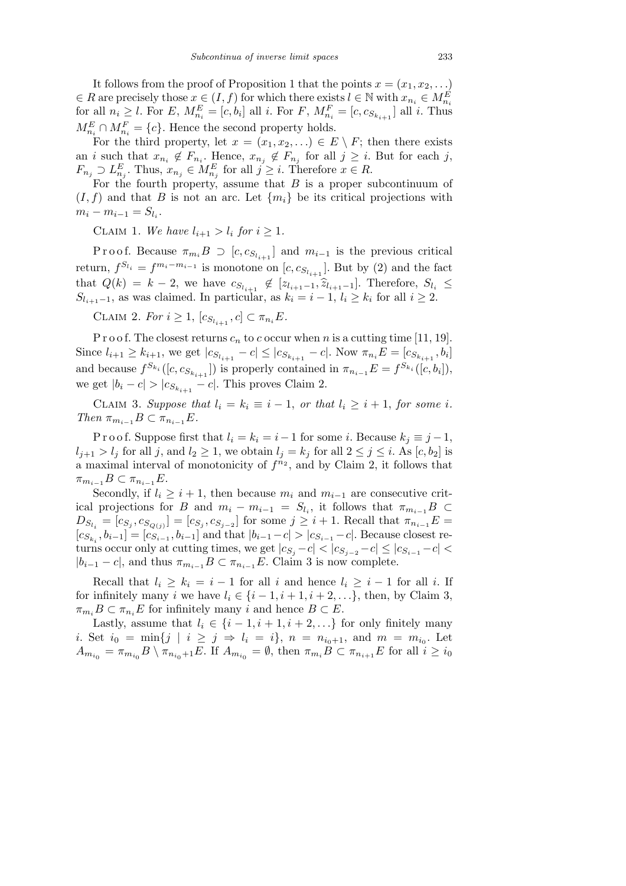It follows from the proof of Proposition 1 that the points  $x = (x_1, x_2, \ldots)$  $\in$  *R* are precisely those  $x \in (I, f)$  for which there exists  $l \in \mathbb{N}$  with  $x_{n_i} \in M_{n_i}^E$ for all  $n_i \geq l$ . For E,  $M_{n_i}^E = [c, b_i]$  all i. For F,  $M_{n_i}^F = [c, c_{S_{k_{i+1}}}]$  all i. Thus  $M_{n_i}^E \cap M_{n_i}^F = \{c\}$ . Hence the second property holds.

For the third property, let  $x = (x_1, x_2, \ldots) \in E \setminus F$ ; then there exists an *i* such that  $x_{n_i} \notin F_{n_i}$ . Hence,  $x_{n_j} \notin F_{n_j}$  for all  $j \geq i$ . But for each *j*,  $F_{n_j} \supset L_{n_j}^E$ . Thus,  $x_{n_j} \in M_{n_j}^E$  for all  $j \geq i$ . Therefore  $x \in R$ .

For the fourth property, assume that *B* is a proper subcontinuum of  $(I, f)$  and that *B* is not an arc. Let  $\{m_i\}$  be its critical projections with  $m_i - m_{i-1} = S_{l_i}$ .

CLAIM 1. We have  $l_{i+1} > l_i$  for  $i \geq 1$ .

Proof. Because  $\pi_{m_i}B \supset [c, c_{S_{l_{i+1}}}]$  and  $m_{i-1}$  is the previous critical return,  $f^{S_{l_i}} = f^{m_i - m_{i-1}}$  is monotone on  $[c, c_{S_{l_{i+1}}}]$ . But by (2) and the fact that  $Q(k) = k - 2$ , we have  $c_{S_{l_{i+1}}} \notin [z_{l_{i+1}-1}, \hat{z}_{l_{i+1}-1}]$ . Therefore,  $S_{l_i} \leq$ *S*<sub>*l*<sub>*i*+1</sub>−1</sub>, as was claimed. In particular, as  $k_i = i - 1$ ,  $l_i \geq k_i$  for all  $i \geq 2$ .

 $CLAIM\ 2.$  *For*  $i \geq 1$ ,  $[c_{S_{l_{i+1}}}, c] \subset \pi_{n_i}E$ .

P r o o f. The closest returns  $c_n$  to  $c$  occur when  $n$  is a cutting time [11, 19]. Since  $l_{i+1} \geq k_{i+1}$ , we get  $|c_{S_{l_{i+1}}} - c| \leq |c_{S_{k_{i+1}}} - c|$ . Now  $\pi_{n_i} E = [c_{S_{k_{i+1}}} , b_i]$ and because  $f^{S_{k_i}}([c, c_{S_{k_{i+1}}}])$  is properly contained in  $\pi_{n_{i-1}}E = f^{S_{k_i}}([c, b_i]),$ we get  $|b_i - c| > |c_{S_{k_{i+1}}} - c|$ . This proves Claim 2.

CLAIM 3. Suppose that  $l_i = k_i \equiv i - 1$ , or that  $l_i \geq i + 1$ , for some *i*.  $Then \pi_{m_{i-1}}B \subset \pi_{n_{i-1}}E$ .

P r o o f. Suppose first that  $l_i = k_i = i - 1$  for some *i*. Because  $k_j \equiv j - 1$ ,  $l_{j+1} > l_j$  for all *j*, and  $l_2 \geq 1$ , we obtain  $l_j = k_j$  for all  $2 \leq j \leq i$ . As  $[c, b_2]$  is a maximal interval of monotonicity of  $f^{n_2}$ , and by Claim 2, it follows that  $\pi_{m_{i-1}}B \subset \pi_{n_{i-1}}E$ .

Secondly, if  $l_i \geq i+1$ , then because  $m_i$  and  $m_{i-1}$  are consecutive critical projections for *B* and  $m_i - m_{i-1} = S_{l_i}$ , it follows that  $\pi_{m_{i-1}}B \subset$  $D_{S_{l_i}} = [c_{S_j}, c_{S_{Q(j)}}] = [c_{S_j}, c_{S_{j-2}}]$  for some  $j \geq i+1$ . Recall that  $\pi_{n_{i-1}}E =$  $[c_{S_{k_i}}, b_{i-1}] = [c_{S_{i-1}}, b_{i-1}]$  and that  $|b_{i-1} - c| > |c_{S_{i-1}} - c|$ . Because closest returns occur only at cutting times, we get  $|c_{S_i}-c|<|c_{S_{i-2}}-c|\leq |c_{S_{i-1}}-c|<$  $|b_{i-1} - c|$ , and thus  $\pi_{m_{i-1}} B \subset \pi_{n_{i-1}} E$ . Claim 3 is now complete.

Recall that  $l_i \geq k_i = i - 1$  for all *i* and hence  $l_i \geq i - 1$  for all *i*. If for infinitely many *i* we have  $l_i \in \{i-1, i+1, i+2, \ldots\}$ , then, by Claim 3,  $\pi_{m_i} B \subset \pi_{n_i} E$  for infinitely many *i* and hence  $B \subset E$ .

Lastly, assume that  $l_i \in \{i-1, i+1, i+2, \ldots\}$  for only finitely many *i*. Set  $i_0 = \min\{j \mid i \ge j \Rightarrow l_i = i\}$ ,  $n = n_{i_0+1}$ , and  $m = m_{i_0}$ . Let  $A_{m_{i_0}} = \pi_{m_{i_0}} B \setminus \pi_{n_{i_0}+1} E$ . If  $A_{m_{i_0}} = \emptyset$ , then  $\pi_{m_i} B \subset \pi_{n_{i+1}} E$  for all  $i \geq i_0$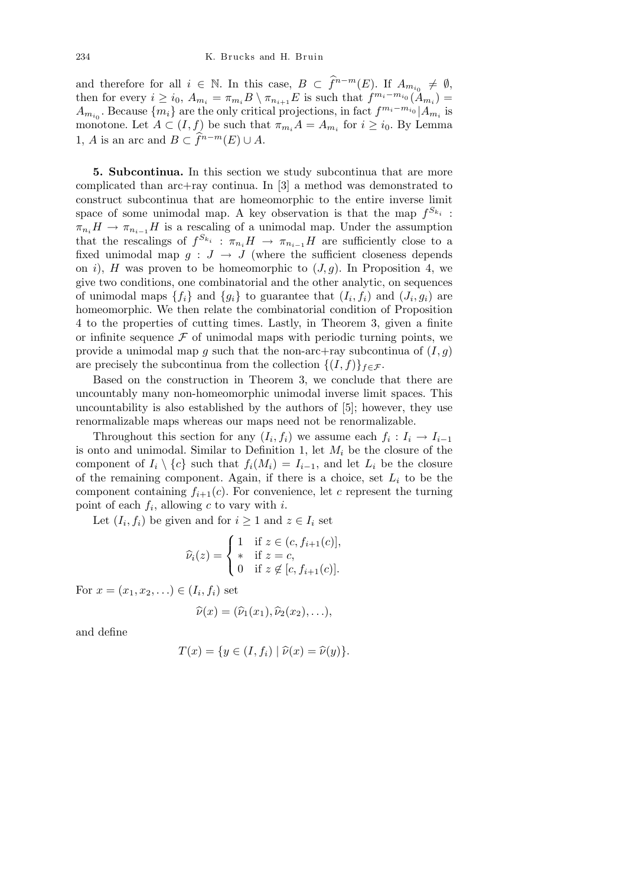and therefore for all  $i \in \mathbb{N}$ . In this case,  $B \subset \hat{f}^{n-m}(E)$ . If  $A_{m_{i_0}} \neq \emptyset$ , then for every  $i \geq i_0$ ,  $A_{m_i} = \pi_{m_i} B \setminus \pi_{n_{i+1}} E$  is such that  $f^{m_i - m_{i_0}}(A_{m_i}) =$ *A*<sup>*m*<sub>*i*</sub><sup>0</sup>. Because  ${m_i}$  are the only critical projections, in fact  $f^{m_i - m_i}$ <sup>0</sup>  $|A_{m_i}$  is</sup> monotone. Let  $A \subset (I, f)$  be such that  $\pi_{m_i} A = A_{m_i}$  for  $i \geq i_0$ . By Lemma 1, *A* is an arc and  $B \subset \hat{f}^{n-m}(E) \cup A$ .

**5. Subcontinua.** In this section we study subcontinua that are more complicated than arc+ray continua. In [3] a method was demonstrated to construct subcontinua that are homeomorphic to the entire inverse limit space of some unimodal map. A key observation is that the map  $f^{S_{k_i}}$ :  $\pi_{n_i} H \to \pi_{n_{i-1}} H$  is a rescaling of a unimodal map. Under the assumption that the rescalings of  $f^{S_{k_i}}$ :  $\pi_{n_i}H \to \pi_{n_{i-1}}H$  are sufficiently close to a fixed unimodal map  $g : J \to J$  (where the sufficient closeness depends on *i*), *H* was proven to be homeomorphic to  $(J, q)$ . In Proposition 4, we give two conditions, one combinatorial and the other analytic, on sequences of unimodal maps  $\{f_i\}$  and  $\{g_i\}$  to guarantee that  $(I_i, f_i)$  and  $(J_i, g_i)$  are homeomorphic. We then relate the combinatorial condition of Proposition 4 to the properties of cutting times. Lastly, in Theorem 3, given a finite or infinite sequence  $\mathcal F$  of unimodal maps with periodic turning points, we provide a unimodal map  $g$  such that the non-arc+ray subcontinua of  $(I, g)$ are precisely the subcontinua from the collection  $\{(I, f)\}_{f \in \mathcal{F}}$ .

Based on the construction in Theorem 3, we conclude that there are uncountably many non-homeomorphic unimodal inverse limit spaces. This uncountability is also established by the authors of [5]; however, they use renormalizable maps whereas our maps need not be renormalizable.

Throughout this section for any  $(I_i, f_i)$  we assume each  $f_i: I_i \to I_{i-1}$ is onto and unimodal. Similar to Definition 1, let *M<sup>i</sup>* be the closure of the component of  $I_i \setminus \{c\}$  such that  $f_i(M_i) = I_{i-1}$ , and let  $L_i$  be the closure of the remaining component. Again, if there is a choice, set  $L_i$  to be the component containing  $f_{i+1}(c)$ . For convenience, let *c* represent the turning point of each  $f_i$ , allowing  $c$  to vary with  $i$ .

Let  $(I_i, f_i)$  be given and for  $i \geq 1$  and  $z \in I_i$  set

$$
\widehat{\nu}_i(z) = \begin{cases}\n1 & \text{if } z \in (c, f_{i+1}(c)], \\
\ast & \text{if } z = c, \\
0 & \text{if } z \notin [c, f_{i+1}(c)].\n\end{cases}
$$

For  $x = (x_1, x_2, \ldots) \in (I_i, f_i)$  set

$$
\widehat{\nu}(x)=(\widehat{\nu}_1(x_1),\widehat{\nu}_2(x_2),\ldots),
$$

and define

$$
T(x) = \{ y \in (I, f_i) \mid \hat{\nu}(x) = \hat{\nu}(y) \}.
$$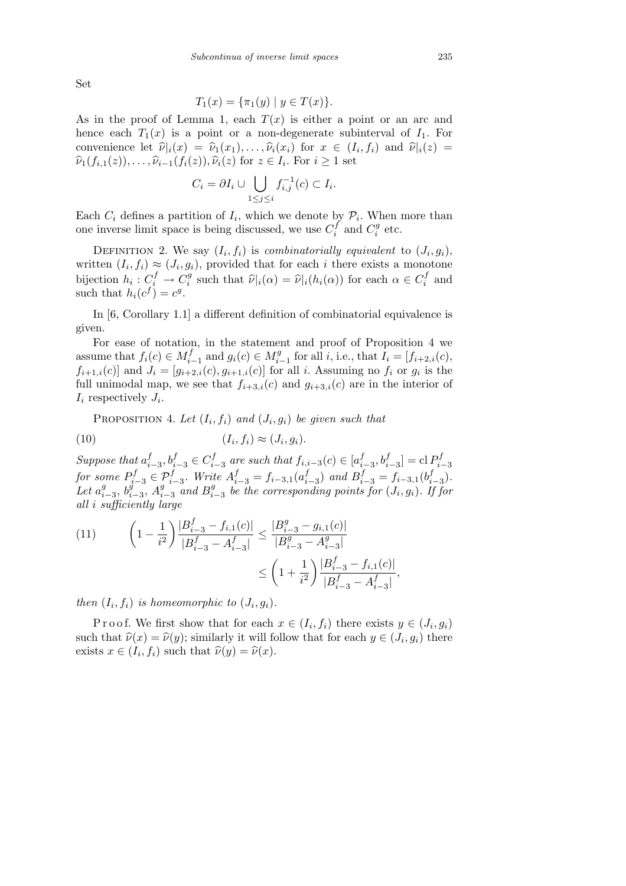Set

$$
T_1(x) = \{\pi_1(y) \mid y \in T(x)\}.
$$

As in the proof of Lemma 1, each  $T(x)$  is either a point or an arc and hence each  $T_1(x)$  is a point or a non-degenerate subinterval of  $I_1$ . For convenience let  $\hat{\nu}_i(x) = \hat{\nu}_1(x_1), \dots, \hat{\nu}_i(x_i)$  for  $x \in (I_i, f_i)$  and  $\hat{\nu}_i(z) =$  $\hat{\nu}_1(f_{i,1}(z)), \ldots, \hat{\nu}_{i-1}(f_i(z)), \hat{\nu}_i(z)$  for  $z \in I_i$ . For  $i \geq 1$  set

$$
C_i = \partial I_i \cup \bigcup_{1 \leq j \leq i} f_{i,j}^{-1}(c) \subset I_i.
$$

Each  $C_i$  defines a partition of  $I_i$ , which we denote by  $P_i$ . When more than one inverse limit space is being discussed, we use  $C_i^f$  $C_i^f$  and  $C_i^g$  $i^g$  etc.

DEFINITION 2. We say  $(I_i, f_i)$  is *combinatorially equivalent* to  $(J_i, g_i)$ , written  $(I_i, f_i) \approx (J_i, g_i)$ , provided that for each *i* there exists a monotone bijection  $h_i: C_i^f \to C_i^g$ *i*<sup>*s*</sup> such that  $\hat{\nu}|_i(\alpha) = \hat{\nu}|_i(h_i(\alpha))$  for each  $\alpha \in C_i^f$  $i$ <sup>t</sup> and such that  $h_i(c^f) = c^g$ .

In [6, Corollary 1.1] a different definition of combinatorial equivalence is given.

For ease of notation, in the statement and proof of Proposition 4 we assume that  $f_i(c) \in M_{i-1}^f$  and  $g_i(c) \in M_{i-1}^g$  for all i, i.e., that  $I_i = [f_{i+2,i}(c),$  $f_{i+1,i}(c)$  and  $J_i = [g_{i+2,i}(c), g_{i+1,i}(c)]$  for all *i*. Assuming no  $f_i$  or  $g_i$  is the full unimodal map, we see that  $f_{i+3,i}(c)$  and  $g_{i+3,i}(c)$  are in the interior of  $I_i$  respectively  $J_i$ .

PROPOSITION 4. Let  $(I_i, f_i)$  and  $(J_i, g_i)$  be given such that

(10) (*I<sup>i</sup> , fi*) *≈* (*J<sup>i</sup> , gi*)*.*

*Suppose that a f f*<sub>*i*</sub><sup>*−*3</sup>, *b*<sup>*f*</sup><sub>*i*</sub><sup>*−*3</sup>  $\in C$ <sup>*f*</sup><sub>*i*</sub><sup>*−*</sup> *f*<sub>*i*</sub><sup>*−*</sup><sub>*a*</sub> *are such that*  $f$ <sub>*i*</sub>*<sub><i>i*</sub><sup>*−*</sup></sup><sub>*a*</sub>  $f$ <sup>*c*</sup><sub>*i*</sub><sup>*f*</sup><sub>*a*</sub>  $f$ <sup>*f*</sup><sub>*i*</sub><sup>*f*</sup><sub>*a*</sub>  $f_{i-3}$ ,  $b_{i-3}^f$  = cl  $P_{i-3}^f$ *i−*3 *for some*  $P_{i-3}^f \in \mathcal{P}_{i-3}^f$ *. Write*  $A_{i-3}^f = f_{i-3,1}(a_i^f)$  $f_{i-3}$ ) *and*  $B_{i-3}^f = f_{i-3,1}(b_i^f)$ *i−*3 )*.*  $Let a_i^g$ *i−*3 , *b g i−*3 , *A g*  $\int_{i-3}^g$  *and*  $B_i^g$ *i−*3 *be the corresponding points for* (*J<sup>i</sup> , gi*)*. If for all i sufficiently large*

(11) 
$$
\left(1 - \frac{1}{i^2}\right) \frac{|B_{i-3}^f - f_{i,1}(c)|}{|B_{i-3}^f - A_{i-3}^f|} \le \frac{|B_{i-3}^g - g_{i,1}(c)|}{|B_{i-3}^g - A_{i-3}^g|} \le \left(1 + \frac{1}{i^2}\right) \frac{|B_{i-3}^f - f_{i,1}(c)|}{|B_{i-3}^f - A_{i-3}^f|},
$$

*then*  $(I_i, f_i)$  *is homeomorphic to*  $(J_i, g_i)$ *.* 

Proof. We first show that for each  $x \in (I_i, f_i)$  there exists  $y \in (J_i, g_i)$ such that  $\hat{\nu}(x) = \hat{\nu}(y)$ ; similarly it will follow that for each  $y \in (J_i, g_i)$  there exists  $x \in (I_i, f_i)$  such that  $\hat{\nu}(y) = \hat{\nu}(x)$ .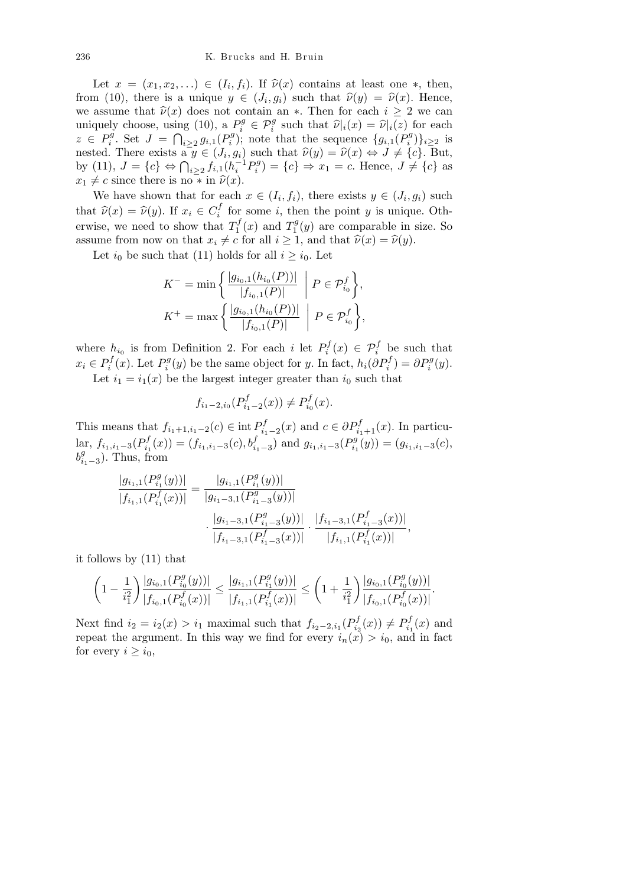Let  $x = (x_1, x_2, \ldots) \in (I_i, f_i)$ . If  $\hat{\nu}(x)$  contains at least one  $*$ , then, from (10), there is a unique  $y \in (J_i, g_i)$  such that  $\hat{\nu}(y) = \hat{\nu}(x)$ . Hence, we assume that  $\hat{\nu}(x)$  does not contain an  $*$ . Then for each  $i \geq 2$  we can uniquely choose, using (10),  ${}_{a}P_{i}^{g} \in \mathcal{P}_{i}^{g}$  such that  $\hat{\nu}|_{i}(x) = \hat{\nu}|_{i}(z)$  for each  $z \in P_i^g$ *i*<sup>*i*</sup>. Set  $J = \bigcap_{i \geq 2} g_{i,1}(P_i^g)$  $(g_{i,1}(P_i^g))$ ; note that the sequence  ${g_{i,1}(P_i^g)}$  $\{e_i^g\}$ <sub>*i*</sub> $\geq$ 2 is nested. There exists  $a \ y \in (J_i, g_i)$  such that  $\hat{\nu}(y) = \hat{\nu}(x) \Leftrightarrow J \neq \{c\}$ . But,<br>by (11),  $J = \{c\} \Leftrightarrow \bigcap_{i \geq 2} f_{i,1}(h_i^{-1} P_i^g) = \{c\} \Rightarrow x_1 = c$ . Hence,  $J \neq \{c\}$  as  $x_i^{g}$  = {*c*}  $\Rightarrow x_1 = c$ . Hence, *J*  $\neq$  {*c*} as  $x_1 \neq c$  since there is no  $\overline{\ast}$  in  $\widehat{\nu}(x)$ .

We have shown that for each  $x \in (I_i, f_i)$ , there exists  $y \in (J_i, g_i)$  such that  $\widehat{\nu}(x) = \widehat{\nu}(y)$ . If  $x_i \in C_i^f$  $i_i$ <sup>I</sup> for some *i*, then the point *y* is unique. Otherwise, we need to show that  $T_1^f$  $T_1^f(x)$  and  $T_1^g$  $j_1^g(y)$  are comparable in size. So assume from now on that  $x_i \neq c$  for all  $i \geq 1$ , and that  $\hat{\nu}(x) = \hat{\nu}(y)$ .

Let  $i_0$  be such that (11) holds for all  $i \geq i_0$ . Let

$$
K^{-} = \min \left\{ \frac{|g_{i_0,1}(h_{i_0}(P))|}{|f_{i_0,1}(P)|} \middle| P \in \mathcal{P}_{i_0}^f \right\},\
$$
  

$$
K^{+} = \max \left\{ \frac{|g_{i_0,1}(h_{i_0}(P))|}{|f_{i_0,1}(P)|} \middle| P \in \mathcal{P}_{i_0}^f \right\},\
$$

where  $h_{i_0}$  is from Definition 2. For each *i* let  $P_i^f$  $p_i^f(x) \in \mathcal{P}_i^f$  be such that  $x_i \in P_i^f$  $P_i^f(x)$ . Let  $P_i^g$ *i*<sup>*g*</sup></sup>(*y*) be the same object for *y*. In fact,  $h_i(\partial P_i^f) = \partial P_i^g(y)$ .

Let  $i_1 = i_1(x)$  be the largest integer greater than  $i_0$  such that

$$
f_{i_1-2,i_0}(P^f_{i_1-2}(x)) \neq P^f_{i_0}(x).
$$

This means that  $f_{i_1+1,i_1-2}(c) \in \text{int } P_{i_1}^f$ *i*<sup>1</sup><sub>*i*</sub><sup>1</sup>−2(*x*) and *c* ∈  $\partial P$ <sup>*f*</sup><sub>*i*<sub>1</sub>+1</sub>(*x*). In particu- $\text{lar}, f_{i_1,i_1-3}(P^f_{i_1})$  $(f_{i_1}(x)) = (f_{i_1,i_1-3}(c), b_{i_1-3}^f)$  and  $g_{i_1,i_1-3}(P_{i_1}^g)$  $(g_{i_1,i_1-3}(c)) = (g_{i_1,i_1-3}(c))$  $b_i^g$ *i*1*−*3 ). Thus, from

$$
\frac{|g_{i_1,1}(P^g_{i_1}(y))|}{|f_{i_1,1}(P^f_{i_1}(x))|} = \frac{|g_{i_1,1}(P^g_{i_1}(y))|}{|g_{i_1-3,1}(P^g_{i_1-3}(y))|} \cdot \frac{|g_{i_1-3,1}(P^g_{i_1-3}(y))|}{|f_{i_1-3,1}(P^f_{i_1-3}(x))|} \cdot \frac{|f_{i_1-3,1}(P^f_{i_1-3}(x))|}{|f_{i_1,1}(P^f_{i_1}(x))|},
$$

it follows by (11) that

$$
\left(1 - \frac{1}{i_1^2}\right) \frac{|g_{i_0,1}(P_{i_0}^g(y))|}{|f_{i_0,1}(P_{i_0}^f(x))|} \le \frac{|g_{i_1,1}(P_{i_1}^g(y))|}{|f_{i_1,1}(P_{i_1}^f(x))|} \le \left(1 + \frac{1}{i_1^2}\right) \frac{|g_{i_0,1}(P_{i_0}^g(y))|}{|f_{i_0,1}(P_{i_0}^f(x))|}.
$$

Next find  $i_2 = i_2(x) > i_1$  maximal such that  $f_{i_2-2,i_1}(P_{i_2}^f)$  $P_{i_2}^f(x)$   $\neq$   $P_{i_1}^f$  $p_{i_1}^J(x)$  and repeat the argument. In this way we find for every  $i_n(x) > i_0$ , and in fact for every  $i \geq i_0$ ,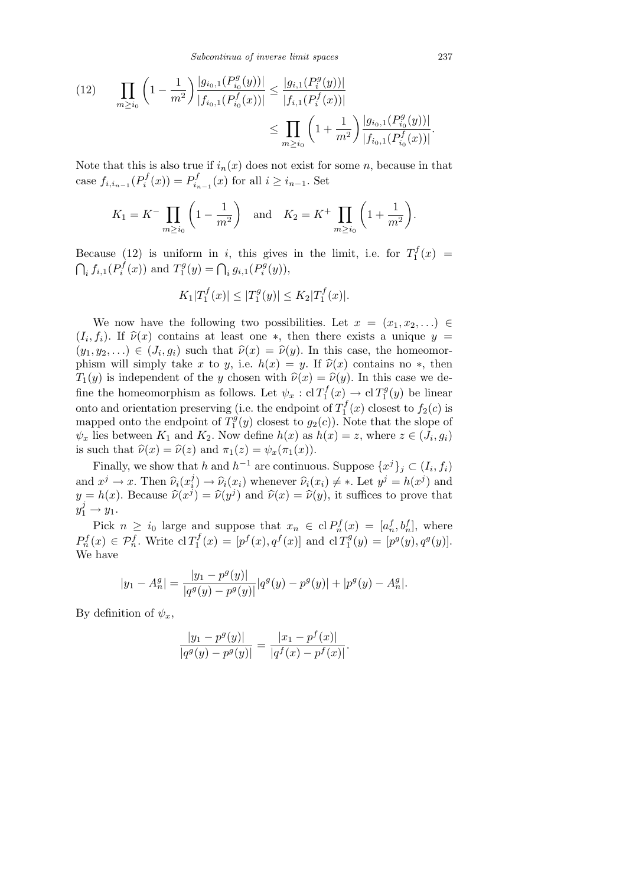*Subcontinua of inverse limit spaces* 237

$$
(12) \qquad \prod_{m\geq i_0} \left(1 - \frac{1}{m^2}\right) \frac{|g_{i_0,1}(P_{i_0}^g(y))|}{|f_{i_0,1}(P_{i_0}^f(x))|} \leq \frac{|g_{i,1}(P_i^g(y))|}{|f_{i,1}(P_i^f(x))|} \leq \prod_{m\geq i_0} \left(1 + \frac{1}{m^2}\right) \frac{|g_{i_0,1}(P_{i_0}^g(y))|}{|f_{i_0,1}(P_{i_0}^f(x))|}.
$$

Note that this is also true if  $i_n(x)$  does not exist for some *n*, because in that case  $f_{i,i_{n-1}}(P_i^f)$  $P_i^f(x)$  =  $P_{i_r}^f$  $\sum_{i=1}^{J}$  (*x*) for all *i* ≥ *i*<sub>*n*−1</sub>. Set

$$
K_1 = K^- \prod_{m \ge i_0} \left( 1 - \frac{1}{m^2} \right)
$$
 and  $K_2 = K^+ \prod_{m \ge i_0} \left( 1 + \frac{1}{m^2} \right)$ .

Because (12) is uniform in *i*, this gives in the limit, i.e. for  $T_1^f$ Because (12) is uniform in *i*, this gives in the limit, i.e. for  $T_1^J(x) =$  $\int_i f_{i,1}(P_i^f)$  $T_i^f(x)$  and  $T_1^g$  $\int_{1}^{g}(y) = \bigcap_{i} g_{i,1}(P_i^g)$  $P_i^g(y)$ ),

$$
K_1|T_1^f(x)| \le |T_1^g(y)| \le K_2|T_1^f(x)|.
$$

We now have the following two possibilities. Let  $x = (x_1, x_2, \ldots) \in$  $(I_i, f_i)$ . If  $\hat{\nu}(x)$  contains at least one \*, then there exists a unique  $y =$  $(y_1, y_2, \ldots) \in (J_i, g_i)$  such that  $\hat{\nu}(x) = \hat{\nu}(y)$ . In this case, the homeomorphism will simply take *x* to *y*, i.e.  $h(x) = y$ . If  $\hat{\nu}(x)$  contains no  $*$ , then *T*<sub>1</sub>(*y*) is independent of the *y* chosen with  $\hat{\nu}(x) = \hat{\nu}(y)$ . In this case we define the homeomorphism as follows. Let  $\psi_x : \mathrm{cl} T_1^f$  $C_1^f(x) \to c1 T_1^g$  $j_1^g(y)$  be linear onto and orientation preserving (i.e. the endpoint of  $T_1^f$  $f_1^J(x)$  closest to  $f_2(c)$  is mapped onto the endpoint of  $T_1^g$  $j_1^g(y)$  closest to  $g_2(c)$ ). Note that the slope of  $\psi_x$  lies between  $K_1$  and  $K_2$ . Now define  $h(x)$  as  $h(x) = z$ , where  $z \in (J_i, g_i)$ is such that  $\hat{\nu}(x) = \hat{\nu}(z)$  and  $\pi_1(z) = \psi_x(\pi_1(x))$ .

Finally, we show that *h* and  $h^{-1}$  are continuous. Suppose  $\{x^{j}\}_j \subset (I_i, f_i)$ and  $x^j \rightarrow x$ . Then  $\hat{\nu}_i(x_i^j)$  $\hat{\nu}_i^j$   $\rightarrow \hat{\nu}_i(x_i)$  whenever  $\hat{\nu}_i(x_i) \neq *$ . Let  $y^j = h(x^j)$  and  $y = h(x)$ . Because  $\hat{\nu}(x^{j}) = \hat{\nu}(y^{j})$  and  $\hat{\nu}(x) = \hat{\nu}(y)$ , it suffices to prove that  $y_1^j \rightarrow y_1.$ 

Pick  $n \geq i_0$  large and suppose that  $x_n \in \text{cl } P_n^f(x) = [a_n^f, b_n^f]$ , where  $P_n^f(x) \in \mathcal{P}_n^f$ . Write cl  $T_1^f$  $T_1^f(x) = [p^f(x), q^f(x)]$  and cl  $T_1^g$  $T_1^g(y) = [p^g(y), q^g(y)].$ We have

$$
|y_1 - A_n^g| = \frac{|y_1 - p^g(y)|}{|q^g(y) - p^g(y)|} |q^g(y) - p^g(y)| + |p^g(y) - A_n^g|.
$$

By definition of  $\psi_x$ ,

$$
\frac{|y_1 - p^g(y)|}{|q^g(y) - p^g(y)|} = \frac{|x_1 - p^f(x)|}{|q^f(x) - p^f(x)|}.
$$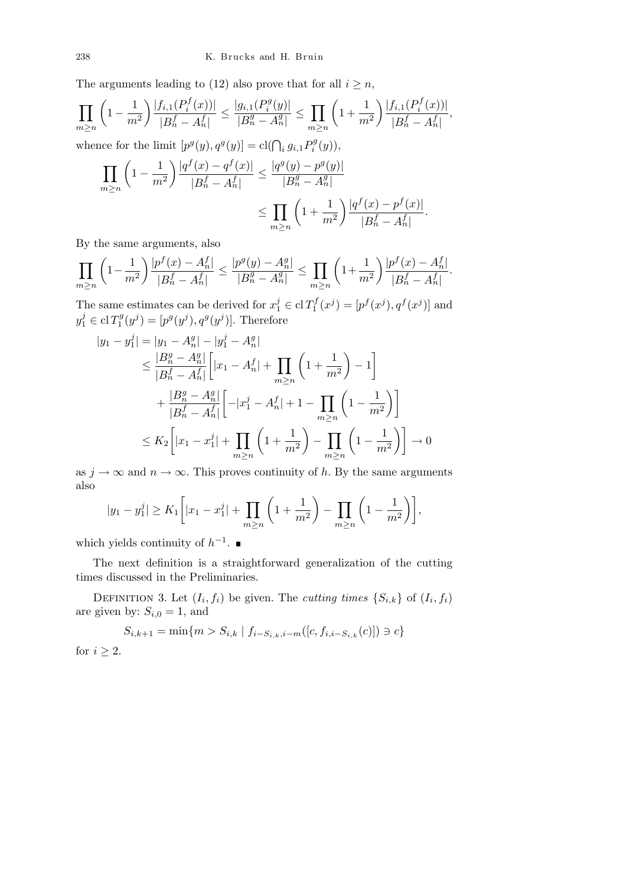The arguments leading to (12) also prove that for all  $i \geq n$ ,

$$
\prod_{m\geq n} \left(1 - \frac{1}{m^2}\right) \frac{|f_{i,1}(P_i^f(x))|}{|B_n^f - A_n^f|} \leq \frac{|g_{i,1}(P_i^g(y)|}{|B_n^g - A_n^g|} \leq \prod_{m\geq n} \left(1 + \frac{1}{m^2}\right) \frac{|f_{i,1}(P_i^f(x))|}{|B_n^f - A_n^f|},
$$
\nwhence for the limit  $[p^g(y), q^g(y)] = \text{cl}(\bigcap_i g_{i,1} P_i^g(y)),$ 

$$
\prod_{m\geq n} \left(1 - \frac{1}{m^2}\right) \frac{|q^f(x) - q^f(x)|}{|B_n^f - A_n^f|} \leq \frac{|q^g(y) - p^g(y)|}{|B_n^g - A_n^g|} \leq \prod_{m\geq n} \left(1 + \frac{1}{m^2}\right) \frac{|q^f(x) - p^f(x)|}{|B_n^f - A_n^f|}.
$$

By the same arguments, also

$$
\prod_{m\geq n}\left(1-\frac{1}{m^2}\right)\frac{|p^f(x)-A_n^f|}{|B_n^f-A_n^f|}\leq \frac{|p^g(y)-A_n^g|}{|B_n^g-A_n^g|}\leq \prod_{m\geq n}\left(1+\frac{1}{m^2}\right)\frac{|p^f(x)-A_n^f|}{|B_n^f-A_n^f|}.
$$

The same estimates can be derived for  $x_1^j \in \text{cl } T_1^f$  $p^{f}(x^{j}) = [p^{f}(x^{j}), q^{f}(x^{j})]$  and  $y_1^j \in \mathrm{cl\,} T_1^g$  $p^{g}(y^{j}) = [p^{g}(y^{j}), q^{g}(y^{j})]$ . Therefore

$$
|y_1 - y_1^j| = |y_1 - A_n^g| - |y_1^j - A_n^g|
$$
  
\n
$$
\leq \frac{|B_n^g - A_n^g|}{|B_n^f - A_n^f|} \Big[ |x_1 - A_n^f| + \prod_{m \geq n} \left( 1 + \frac{1}{m^2} \right) - 1 \Big]
$$
  
\n
$$
+ \frac{|B_n^g - A_n^g|}{|B_n^f - A_n^f|} \Big[ - |x_1^j - A_n^f| + 1 - \prod_{m \geq n} \left( 1 - \frac{1}{m^2} \right) \Big]
$$
  
\n
$$
\leq K_2 \Big[ |x_1 - x_1^j| + \prod_{m \geq n} \left( 1 + \frac{1}{m^2} \right) - \prod_{m \geq n} \left( 1 - \frac{1}{m^2} \right) \Big] \to 0
$$

as  $j \to \infty$  and  $n \to \infty$ . This proves continuity of *h*. By the same arguments also  $\overline{a}$  $\overline{\phantom{a}}$  $\mathbf{r}$  $\overline{\phantom{a}}$  $\sqrt{1}$ 

$$
|y_1 - y_1^j| \ge K_1 \left[ |x_1 - x_1^j| + \prod_{m \ge n} \left( 1 + \frac{1}{m^2} \right) - \prod_{m \ge n} \left( 1 - \frac{1}{m^2} \right) \right],
$$

which yields continuity of  $h^{-1}$ .

The next definition is a straightforward generalization of the cutting times discussed in the Preliminaries.

DEFINITION 3. Let  $(I_i, f_i)$  be given. The *cutting times*  $\{S_{i,k}\}$  of  $(I_i, f_i)$ are given by:  $S_{i,0} = 1$ , and

$$
S_{i,k+1} = \min\{m > S_{i,k} \mid f_{i-S_{i,k},i-m}([c, f_{i,i-S_{i,k}}(c)]) \ni c\}
$$

for  $i \geq 2$ .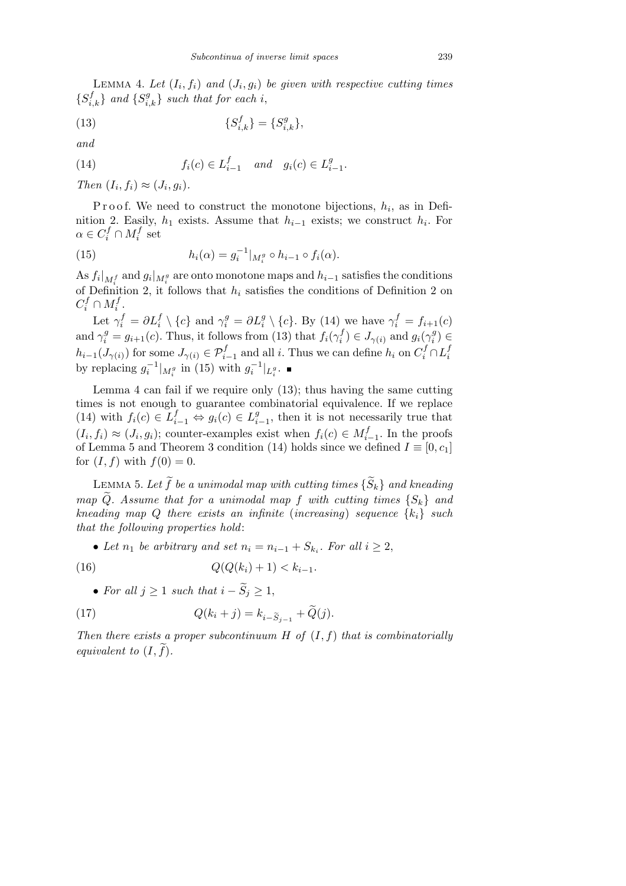LEMMA 4. Let  $(I_i, f_i)$  and  $(J_i, g_i)$  be given with respective cutting times  $\{S_{i,k}^f\}$  *and*  $\{S_{i,k}^g\}$  *such that for each i*,

(13) 
$$
\{S_{i,k}^f\} = \{S_{i,k}^g\},\
$$

*and*

(14) 
$$
f_i(c) \in L_{i-1}^f
$$
 and  $g_i(c) \in L_{i-1}^g$ .

*Then*  $(I_i, f_i) \approx (J_i, g_i)$ .

Proof. We need to construct the monotone bijections,  $h_i$ , as in Definition 2. Easily,  $h_1$  exists. Assume that  $h_{i-1}$  exists; we construct  $h_i$ . For  $\alpha \in C_i^f \cap M_i^f$  set

(15) 
$$
h_i(\alpha) = g_i^{-1}|_{M_i^g} \circ h_{i-1} \circ f_i(\alpha).
$$

As  $f_i|_{M_i^f}$  and  $g_i|_{M_i^g}$  are onto monotone maps and  $h_{i-1}$  satisfies the conditions of Definition 2, it follows that  $h_i$  satisfies the conditions of Definition 2 on  $C_i^f \cap M_i^f$ .

Let  $\gamma_i^f = \partial L_i^f \setminus \{c\}$  and  $\gamma_i^g = \partial L_i^g \setminus \{c\}$ . By (14) we have  $\gamma_i^f = f_{i+1}(c)$ and  $\gamma_i^g = g_{i+1}(c)$ . Thus, it follows from (13) that  $f_i(\gamma_i^f)$  $f_i^f$ )  $\in J_{\gamma(i)}$  and  $g_i(\gamma_i^g)$ *i* ) *∈*  $h_{i-1}(J_{\gamma(i)})$  for some  $J_{\gamma(i)} \in \mathcal{P}_{i-1}^f$  and all *i*. Thus we can define  $h_i$  on  $C_i^f \cap L_i^f$ *i* by replacing  $g_i^{-1}|_{M_i^g}$  in (15) with  $g_i^{-1}|_{L_i^g}$ .

Lemma 4 can fail if we require only (13); thus having the same cutting times is not enough to guarantee combinatorial equivalence. If we replace  $(14)$  with  $f_i(c) \in L_{i-1}^f \Leftrightarrow g_i(c) \in L_i^g$  $^{g}_{i-1}$ , then it is not necessarily true that  $(I_i, f_i) \approx (J_i, g_i)$ ; counter-examples exist when  $f_i(c) \in M_{i-1}^f$ . In the proofs of Lemma 5 and Theorem 3 condition (14) holds since we defined  $I \equiv [0, c_1]$ for  $(I, f)$  with  $f(0) = 0$ .

LEMMA 5. Let  $\widetilde{f}$  be a unimodal map with cutting times  $\{\widetilde{S}_k\}$  and kneading *map*  $\widetilde{Q}$ *. Assume that for a unimodal map f with cutting times*  ${S_k}$  *and kneading map Q there exists an infinite* (*increasing*) *sequence*  $\{k_i\}$  *such that the following properties hold*:

• Let  $n_1$  be arbitrary and set  $n_i = n_{i-1} + S_{k_i}$ . For all  $i \geq 2$ ,

(16) 
$$
Q(Q(k_i) + 1) < k_{i-1}.
$$

• For all  $j \geq 1$  *such that*  $i - \widetilde{S}_j \geq 1$ ,

(17) 
$$
Q(k_i + j) = k_{i - \tilde{S}_{j-1}} + \tilde{Q}(j).
$$

*Then there exists a proper subcontinuum H of* (*I, f*) *that is combinatorially equivalent to*  $(I, \tilde{f})$ *.*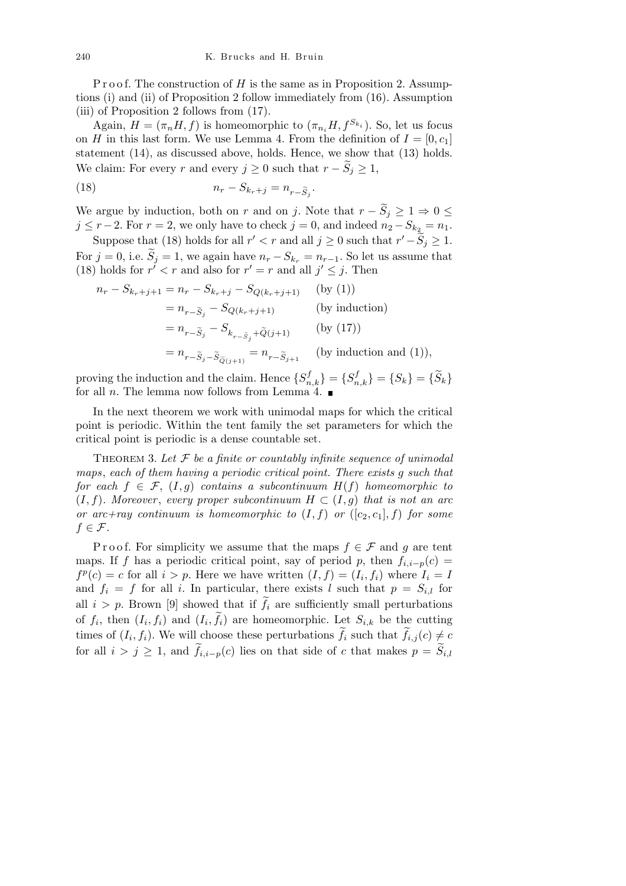P r o o f. The construction of *H* is the same as in Proposition 2. Assumptions (i) and (ii) of Proposition 2 follow immediately from (16). Assumption (iii) of Proposition 2 follows from (17).

Again,  $H = (\pi_n H, f)$  is homeomorphic to  $(\pi_{n_i} H, f^{S_{k_i}})$ . So, let us focus on *H* in this last form. We use Lemma 4. From the definition of  $I = [0, c_1]$ statement (14), as discussed above, holds. Hence, we show that (13) holds. We claim: For every *r* and every  $j \geq 0$  such that  $r - S_j \geq 1$ ,

$$
(18) \t\t n_r - S_{k_r+j} = n_{r-\widetilde{S}_j}.
$$

We argue by induction, both on *r* and on *j*. Note that  $r - \tilde{S}_j \geq 1 \Rightarrow 0 \leq$  $j \leq r - 2$ . For  $r = 2$ , we only have to check  $j = 0$ , and indeed  $n_2 - S_{k_2} = n_1$ .

Suppose that (18) holds for all  $r' < r$  and all  $j \ge 0$  such that  $r' - \tilde{S}_j \ge 1$ . For  $j = 0$ , i.e.  $\widetilde{S}_j = 1$ , we again have  $n_r - S_{k_r} = n_{r-1}$ . So let us assume that (18) holds for  $r' < r$  and also for  $r' = r$  and all  $j' \leq j$ . Then

$$
n_r - S_{k_r+j+1} = n_r - S_{k_r+j} - S_{Q(k_r+j+1)} \qquad \text{(by (1))}
$$
  
= 
$$
n_{r-\tilde{S}_j} - S_{Q(k_r+j+1)} \qquad \text{(by induction)}
$$
  
= 
$$
n_{r-\tilde{S}_j} - S_{k_{r-\tilde{S}_j}+\tilde{Q}(j+1)} \qquad \text{(by (17))}
$$
  
= 
$$
n_{r-\tilde{S}_j-\tilde{S}_{\tilde{Q}(j+1)}} = n_{r-\tilde{S}_{j+1}} \qquad \text{(by induction and (1)),}
$$

proving the induction and the claim. Hence  ${S_{n,k}^f} = {S_{n,k}^f} = {S_k} = {\tilde{S}_k}$ for all *n*. The lemma now follows from Lemma 4.

In the next theorem we work with unimodal maps for which the critical point is periodic. Within the tent family the set parameters for which the critical point is periodic is a dense countable set.

Theorem 3. *Let F be a finite or countably infinite sequence of unimodal maps*, *each of them having a periodic critical point. There exists g such that for each*  $f \in \mathcal{F}$ ,  $(I, q)$  *contains a subcontinuum*  $H(f)$  *homeomorphic to*  $(I, f)$ *. Moreover, every proper subcontinuum*  $H \subset (I, g)$  *that is not an arc or arc+ray continuum is homeomorphic to*  $(I, f)$  *or*  $([c_2, c_1], f)$  *for some*  $f \in \mathcal{F}$ *.* 

P r o o f. For simplicity we assume that the maps  $f \in \mathcal{F}$  and g are tent maps. If *f* has a periodic critical point, say of period *p*, then  $f_{i,i-p}(c)$  =  $f^p(c) = c$  for all  $i > p$ . Here we have written  $(I, f) = (I_i, f_i)$  where  $I_i = I$ and  $f_i = f$  for all *i*. In particular, there exists *l* such that  $p = S_{i,l}$  for all  $i > p$ . Brown [9] showed that if  $\tilde{f}_i$  are sufficiently small perturbations of  $f_i$ , then  $(I_i, f_i)$  and  $(I_i, \tilde{f}_i)$  are homeomorphic. Let  $S_{i,k}$  be the cutting times of  $(I_i, f_i)$ . We will choose these perturbations  $\tilde{f}_i$  such that  $\tilde{f}_{i,j}(c) \neq c$ for all  $i > j \geq 1$ , and  $\widetilde{f}_{i,i-p}(c)$  lies on that side of *c* that makes  $p = \widetilde{S}_{i,l}$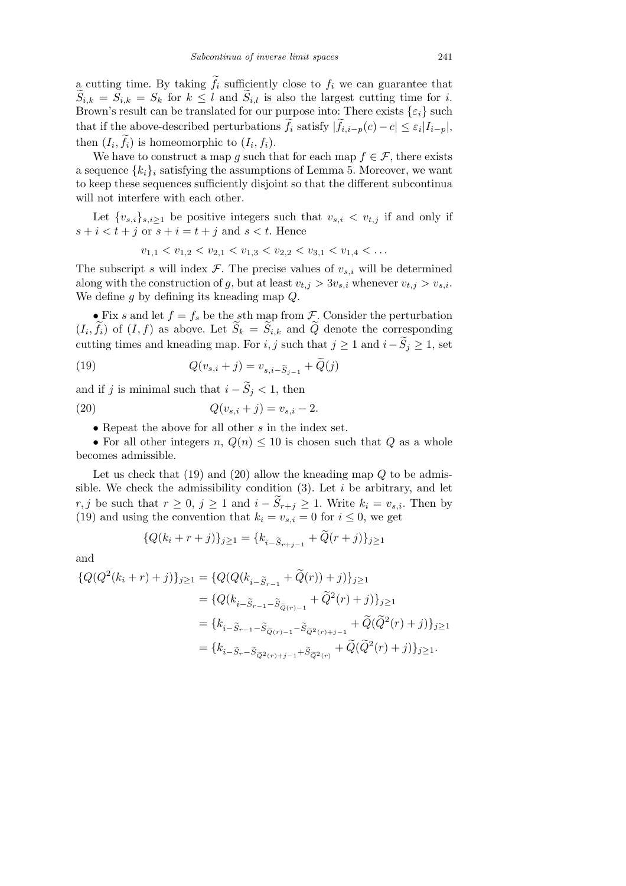a cutting time. By taking  $\tilde{f}_i$  sufficiently close to  $f_i$  we can guarantee that  $\widetilde{S}_{i,k} = \widetilde{S}_{i,k} = S_k$  for  $k \leq l$  and  $\widetilde{S}_{i,l}$  is also the largest cutting time for *i*. Brown's result can be translated for our purpose into: There exists  $\{\varepsilon_i\}$  such that if the above-described perturbations  $\widetilde{f}_i$  satisfy  $|\widetilde{f}_{i,i-p}(c) - c| \leq \varepsilon_i |I_{i-p}|$ , then  $(I_i, \tilde{f}_i)$  is homeomorphic to  $(I_i, f_i)$ .

We have to construct a map *g* such that for each map  $f \in \mathcal{F}$ , there exists a sequence  $\{k_i\}_i$  satisfying the assumptions of Lemma 5. Moreover, we want to keep these sequences sufficiently disjoint so that the different subcontinua will not interfere with each other.

Let  $\{v_{s,i}\}_{s,i\geq 1}$  be positive integers such that  $v_{s,i} < v_{t,j}$  if and only if  $s + i < t + j$  or  $s + i = t + j$  and  $s < t$ . Hence

$$
v_{1,1} < v_{1,2} < v_{2,1} < v_{1,3} < v_{2,2} < v_{3,1} < v_{1,4} < \dots
$$

The subscript *s* will index  $\mathcal{F}$ . The precise values of  $v_{s,i}$  will be determined along with the construction of *g*, but at least  $v_{t,j} > 3v_{s,i}$ , whenever  $v_{t,j} > v_{s,i}$ . We define *g* by defining its kneading map *Q*.

• Fix *s* and let  $f = f_s$  be the *s*th map from *F*. Consider the perturbation  $(I_i, \tilde{f}_i)$  of  $(I, f)$  as above. Let  $\tilde{S}_k = \tilde{S}_{i,k}$  and  $\tilde{Q}$  denote the corresponding cutting times and kneading map. For *i, j* such that  $j \ge 1$  and  $i - \widetilde{S}_j \ge 1$ , set

(19) 
$$
Q(v_{s,i}+j) = v_{s,i-\widetilde{S}_{j-1}} + \widetilde{Q}(j)
$$

and if *j* is minimal such that  $i - \tilde{S}_j < 1$ , then

(20) 
$$
Q(v_{s,i} + j) = v_{s,i} - 2.
$$

*•* Repeat the above for all other *s* in the index set.

• For all other integers *n*,  $Q(n) \leq 10$  is chosen such that  $Q$  as a whole becomes admissible.

Let us check that (19) and (20) allow the kneading map *Q* to be admissible. We check the admissibility condition (3). Let *i* be arbitrary, and let *r*, *j* be such that  $r ≥ 0$ ,  $j ≥ 1$  and  $i - \tilde{S}_{r+j} ≥ 1$ . Write  $k_i = v_{s,i}$ . Then by (19) and using the convention that  $k_i = v_{s,i} = 0$  for  $i \leq 0$ , we get

$$
\{Q(k_i + r + j)\}_{j \ge 1} = \{k_{i - \widetilde{S}_{r+j-1}} + \widetilde{Q}(r + j)\}_{j \ge 1}
$$

and

$$
\begin{aligned} \{Q(Q^2(k_i+r)+j)\}_{j\geq 1} &= \{Q(Q(k_{i-\widetilde{S}_{r-1}}+\widetilde{Q}(r))+j)\}_{j\geq 1} \\ &= \{Q(k_{i-\widetilde{S}_{r-1}-\widetilde{S}_{\widetilde{Q}(r)-1}}+\widetilde{Q}^2(r)+j)\}_{j\geq 1} \\ &= \{k_{i-\widetilde{S}_{r-1}-\widetilde{S}_{\widetilde{Q}(r)-1}-\widetilde{S}_{\widetilde{Q}^2(r)+j-1}}+\widetilde{Q}(\widetilde{Q}^2(r)+j)\}_{j\geq 1} \\ &= \{k_{i-\widetilde{S}_{r}-\widetilde{S}_{\widetilde{Q}^2(r)+j-1}+\widetilde{S}_{\widetilde{Q}^2(r)}}+\widetilde{Q}(\widetilde{Q}^2(r)+j)\}_{j\geq 1}. \end{aligned}
$$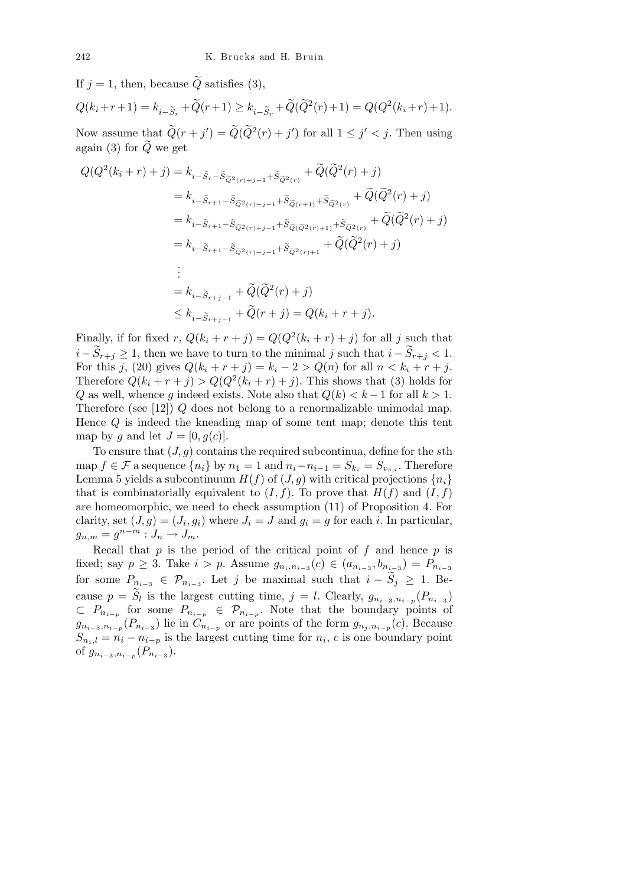If  $j = 1$ , then, because  $\ddot{Q}$  satisfies (3),

$$
Q(k_i + r + 1) = k_{i - \widetilde{S}_r} + \widetilde{Q}(r + 1) \ge k_{i - \widetilde{S}_r} + \widetilde{Q}(\widetilde{Q}^2(r) + 1) = Q(Q^2(k_i + r) + 1).
$$

Now assume that  $\widetilde{Q}(r + j') = \widetilde{Q}(\widetilde{Q}^2(r) + j')$  for all  $1 \leq j' < j$ . Then using again (3) for  $\tilde{Q}$  we get

$$
Q(Q^{2}(k_{i}+r)+j) = k_{i-\tilde{S}_{r}-\tilde{S}_{\tilde{Q}^{2}(r)+j-1}+\tilde{S}_{\tilde{Q}^{2}(r)}} + \tilde{Q}(\tilde{Q}^{2}(r)+j)
$$
  
\n
$$
= k_{i-\tilde{S}_{r+1}-\tilde{S}_{\tilde{Q}^{2}(r)+j-1}+\tilde{S}_{\tilde{Q}^{2}(r)+1}+\tilde{S}_{\tilde{Q}^{2}(r)}} + \tilde{Q}(\tilde{Q}^{2}(r)+j)
$$
  
\n
$$
= k_{i-\tilde{S}_{r+1}-\tilde{S}_{\tilde{Q}^{2}(r)+j-1}+\tilde{S}_{\tilde{Q}(\tilde{Q}^{2}(r)+1)}+\tilde{S}_{\tilde{Q}^{2}(r)}+\tilde{Q}(\tilde{Q}^{2}(r)+j)
$$
  
\n
$$
= k_{i-\tilde{S}_{r+1}-\tilde{S}_{\tilde{Q}^{2}(r)+j-1}+\tilde{S}_{\tilde{Q}^{2}(r)+1}+\tilde{Q}(\tilde{Q}^{2}(r)+j)
$$
  
\n
$$
\vdots
$$
  
\n
$$
= k_{i-\tilde{S}_{r+j-1}}+\tilde{Q}(\tilde{Q}^{2}(r)+j)
$$
  
\n
$$
\leq k_{i-\tilde{S}_{r+j-1}}+\tilde{Q}(r+j)=Q(k_{i}+r+j).
$$

Finally, if for fixed  $r$ ,  $Q(k_i + r + j) = Q(Q^2(k_i + r) + j)$  for all *j* such that *i* −  $\widetilde{S}_{r+j}$  ≥ 1, then we have to turn to the minimal *j* such that  $i - \widetilde{S}_{r+j}$  < 1. For this *j*, (20) gives  $Q(k_i + r + j) = k_i - 2 > Q(n)$  for all  $n < k_i + r + j$ . Therefore  $Q(k_i + r + j) > Q(Q^2(k_i + r) + j)$ . This shows that (3) holds for *Q* as well, whence *g* indeed exists. Note also that  $Q(k) < k-1$  for all  $k > 1$ . Therefore (see [12]) *Q* does not belong to a renormalizable unimodal map. Hence *Q* is indeed the kneading map of some tent map; denote this tent map by *q* and let  $J = [0, q(c)]$ .

To ensure that (*J, g*) contains the required subcontinua, define for the *s*th map  $f \in \mathcal{F}$  a sequence  $\{n_i\}$  by  $n_1 = 1$  and  $n_i - n_{i-1} = S_{k_i} = S_{v_{s,i}}$ . Therefore Lemma 5 yields a subcontinuum  $H(f)$  of  $(J, g)$  with critical projections  $\{n_i\}$ that is combinatorially equivalent to  $(I, f)$ . To prove that  $H(f)$  and  $(I, f)$ are homeomorphic, we need to check assumption (11) of Proposition 4. For clarity, set  $(J, g) = (J_i, g_i)$  where  $J_i = J$  and  $g_i = g$  for each *i*. In particular,  $g_{n,m} = g^{n-m} : J_n \to J_m.$ 

Recall that *p* is the period of the critical point of *f* and hence *p* is fixed; say  $p \ge 3$ . Take  $i > p$ . Assume  $g_{n_i, n_{i-3}}(c) \in (a_{n_{i-3}}, b_{n_{i-3}}) = P_{n_{i-3}}$ for some  $P_{n_{i-3}} \in \mathcal{P}_{n_{i-3}}$ . Let *j* be maximal such that  $i - \tilde{S}_j \geq 1$ . Because  $p = \widetilde{S}_l$  is the largest cutting time,  $j = l$ . Clearly,  $g_{n_{i-3}, n_{i-p}}(P_{n_{i-3}})$ *⊂ P<sup>n</sup>i−<sup>p</sup>* for some *P<sup>n</sup>i−<sup>p</sup> ∈ P<sup>n</sup>i−<sup>p</sup>* . Note that the boundary points of  $g_{n_{i-3},n_{i-p}}(P_{n_{i-3}})$  lie in  $C_{n_{i-p}}$  or are points of the form  $g_{n_j,n_{i-p}}(c)$ . Because  $S_{n_i,l} = n_i - n_{i-p}$  is the largest cutting time for  $n_i$ , *c* is one boundary point of  $g_{n_{i-3},n_{i-p}}(P_{n_{i-3}})$ .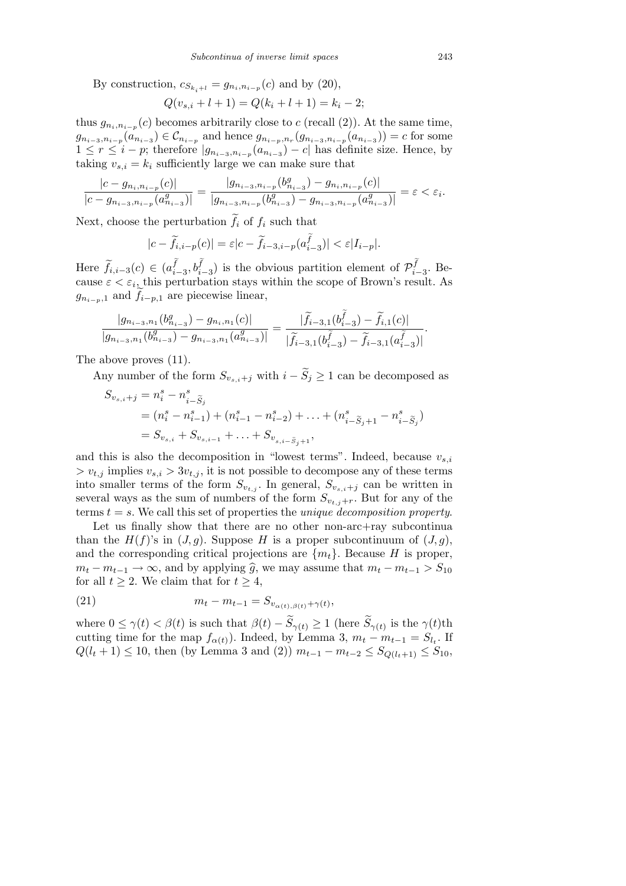By construction,  $c_{S_{k_i+l}} = g_{n_i, n_{i-p}}(c)$  and by (20),

$$
Q(v_{s,i} + l + 1) = Q(k_i + l + 1) = k_i - 2;
$$

thus  $g_{n_i,n_{i-p}}(c)$  becomes arbitrarily close to *c* (recall (2)). At the same time,  $g_{n_{i-3},n_{i-p}}(a_{n_{i-3}}) \in \mathcal{C}_{n_{i-p}}$  and hence  $g_{n_{i-p},n_r}(g_{n_{i-3},n_{i-p}}(a_{n_{i-3}})) = c$  for some  $1 \leq r \leq i - p$ ; therefore  $|g_{n_{i-3},n_{i-p}}(a_{n_{i-3}}) - c|$  has definite size. Hence, by taking  $v_{s,i} = k_i$  sufficiently large we can make sure that

$$
\frac{|c-g_{n_i,n_{i-p}}(c)|}{|c-g_{n_{i-3},n_{i-p}}(a_{n_{i-3}}^g)|} = \frac{|g_{n_{i-3},n_{i-p}}(b_{n_{i-3}}^g) - g_{n_i,n_{i-p}}(c)|}{|g_{n_{i-3},n_{i-p}}(b_{n_{i-3}}^g) - g_{n_{i-3},n_{i-p}}(a_{n_{i-3}}^g)|} = \varepsilon < \varepsilon_i.
$$

Next, choose the perturbation  $\tilde{f}_i$  of  $f_i$  such that

$$
|c - \widetilde{f}_{i,i-p}(c)| = \varepsilon |c - \widetilde{f}_{i-3,i-p}(a_{i-3}^{\widetilde{f}})| < \varepsilon |I_{i-p}|.
$$

Here  $\widetilde{f}_{i,i-3}(c) \in (a_{i-1}^{\widetilde{f}})$  $(\tilde{f}_{i-3}, b\tilde{f}_{i-3})$  is the obvious partition element of  $\mathcal{P}^{\tilde{f}}_{i-3}$ *i−*3 . Because  $\varepsilon < \varepsilon_i$ , this perturbation stays within the scope of Brown's result. As  $g_{n_{i-p},1}$  and  $\widetilde{f}_{i-p,1}$  are piecewise linear,

$$
\frac{|g_{n_{i-3},n_1}(b_{n_{i-3}}^g)-g_{n_i,n_1}(c)|}{|g_{n_{i-3},n_1}(b_{n_{i-3}}^g)-g_{n_{i-3},n_1}(a_{n_{i-3}}^g)|}=\frac{|\widetilde{f}_{i-3,1}(b_{i-3}^{\widetilde{f}})-\widetilde{f}_{i,1}(c)|}{|\widetilde{f}_{i-3,1}(b_{i-3}^{\widetilde{f}})-\widetilde{f}_{i-3,1}(a_{i-3}^{\widetilde{f}})|}
$$

The above proves (11).

Any number of the form  $S_{v_{s,i}+j}$  with  $i - \tilde{S}_j \geq 1$  can be decomposed as

$$
S_{v_{s,i}+j} = n_i^s - n_{i-\tilde{S}_j}^s
$$
  
=  $(n_i^s - n_{i-1}^s) + (n_{i-1}^s - n_{i-2}^s) + \dots + (n_{i-\tilde{S}_j+1}^s - n_{i-\tilde{S}_j}^s)$   
=  $S_{v_{s,i}} + S_{v_{s,i-1}} + \dots + S_{v_{s,i-\tilde{S}_j+1}},$ 

and this is also the decomposition in "lowest terms". Indeed, because  $v_{s,i}$  $> v_{t,i}$  implies  $v_{s,i} > 3v_{t,i}$ , it is not possible to decompose any of these terms into smaller terms of the form  $S_{v_{t,j}}$ . In general,  $S_{v_{s,i}+j}$  can be written in several ways as the sum of numbers of the form  $S_{v_{t,j}+r}$ . But for any of the terms *t* = *s*. We call this set of properties the *unique decomposition property*.

Let us finally show that there are no other non-arc+ray subcontinual than the  $H(f)$ 's in  $(J, q)$ . Suppose *H* is a proper subcontinuum of  $(J, q)$ , and the corresponding critical projections are  $\{m_t\}$ . Because *H* is proper, *m*<sub>t</sub> − *m*<sub>t−1</sub> → ∞, and by applying  $\hat{g}$ , we may assume that  $m_t - m_{t-1} > S_{10}$ for all  $t \geq 2$ . We claim that for  $t \geq 4$ ,

(21) 
$$
m_t - m_{t-1} = S_{v_{\alpha(t),\beta(t)} + \gamma(t)},
$$

where  $0 \le \gamma(t) < \beta(t)$  is such that  $\beta(t) - \tilde{S}_{\gamma(t)} \ge 1$  (here  $\tilde{S}_{\gamma(t)}$  is the  $\gamma(t)$ th cutting time for the map  $f_{\alpha(t)}$ ). Indeed, by Lemma 3,  $m_t - m_{t-1} = S_{l_t}$ . If *Q*(*l*<sub>t</sub> + 1) ≤ 10, then (by Lemma 3 and (2))  $m_{t-1} - m_{t-2} \leq S_{Q(l_t+1)} \leq S_{10}$ ,

*.*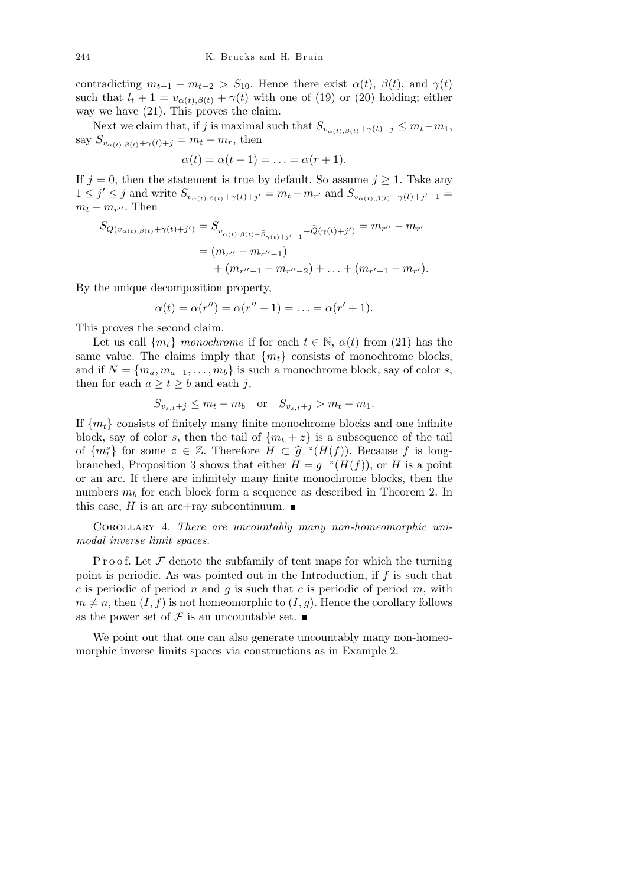contradicting  $m_{t-1} - m_{t-2} > S_{10}$ . Hence there exist  $\alpha(t)$ ,  $\beta(t)$ , and  $\gamma(t)$ such that  $l_t + 1 = v_{\alpha(t),\beta(t)} + \gamma(t)$  with one of (19) or (20) holding; either way we have (21). This proves the claim.

Next we claim that, if *j* is maximal such that  $S_{v_{\alpha(t),\beta(t)}+\gamma(t)+j} \leq m_t - m_1$ , say  $S_{v_{\alpha(t),\beta(t)}+\gamma(t)+j} = m_t - m_r$ , then

$$
\alpha(t) = \alpha(t-1) = \ldots = \alpha(r+1).
$$

If  $j = 0$ , then the statement is true by default. So assume  $j \ge 1$ . Take any  $1 \leq j' \leq j$  and write  $S_{v_{\alpha(t),\beta(t)}+\gamma(t)+j'} = m_t - m_{r'}$  and  $S_{v_{\alpha(t),\beta(t)}+\gamma(t)+j'-1} =$  $m_t - m_{r''}$ . Then

$$
S_{Q(v_{\alpha(t),\beta(t)}+\gamma(t)+j')} = S_{v_{\alpha(t),\beta(t)-\tilde{S}_{\gamma(t)+j'-1}}+\tilde{Q}(\gamma(t)+j')} = m_{r''} - m_{r'}
$$
  
= 
$$
(m_{r''} - m_{r''-1})
$$
  
+ 
$$
(m_{r''-1} - m_{r''-2}) + ... + (m_{r'+1} - m_{r'}).
$$

By the unique decomposition property,

$$
\alpha(t) = \alpha(r'') = \alpha(r'' - 1) = \ldots = \alpha(r' + 1).
$$

This proves the second claim.

Let us call  ${m_t}$  *monochrome* if for each  $t \in \mathbb{N}$ ,  $\alpha(t)$  from (21) has the same value. The claims imply that  ${m_t}$  consists of monochrome blocks, and if  $N = \{m_a, m_{a-1}, \ldots, m_b\}$  is such a monochrome block, say of color *s*, then for each  $a \geq t \geq b$  and each *j*,

$$
S_{v_{s,t}+j} \le m_t - m_b \quad \text{or} \quad S_{v_{s,t}+j} > m_t - m_1.
$$

If  ${m_t}$  consists of finitely many finite monochrome blocks and one infinite block, say of color *s*, then the tail of  ${m_t + z}$  is a subsequence of the tail of  ${m<sub>t</sub><sup>s</sup>}$  for some  $z \in \mathbb{Z}$ . Therefore  $H \subset \hat{g}^{-z}(H(f))$ . Because f is longbranched, Proposition 3 shows that either  $H = g^{-z}(H(f))$ , or *H* is a point or an arc. If there are infinitely many finite monochrome blocks, then the numbers  $m_b$  for each block form a sequence as described in Theorem 2. In this case,  $H$  is an arc+ray subcontinuum.  $\blacksquare$ 

Corollary 4. *There are uncountably many non-homeomorphic unimodal inverse limit spaces.*

P r o o f. Let  $\mathcal F$  denote the subfamily of tent maps for which the turning point is periodic. As was pointed out in the Introduction, if *f* is such that *c* is periodic of period *n* and *g* is such that *c* is periodic of period *m*, with  $m \neq n$ , then  $(I, f)$  is not homeomorphic to  $(I, g)$ . Hence the corollary follows as the power set of  $\mathcal F$  is an uncountable set.

We point out that one can also generate uncountably many non-homeomorphic inverse limits spaces via constructions as in Example 2.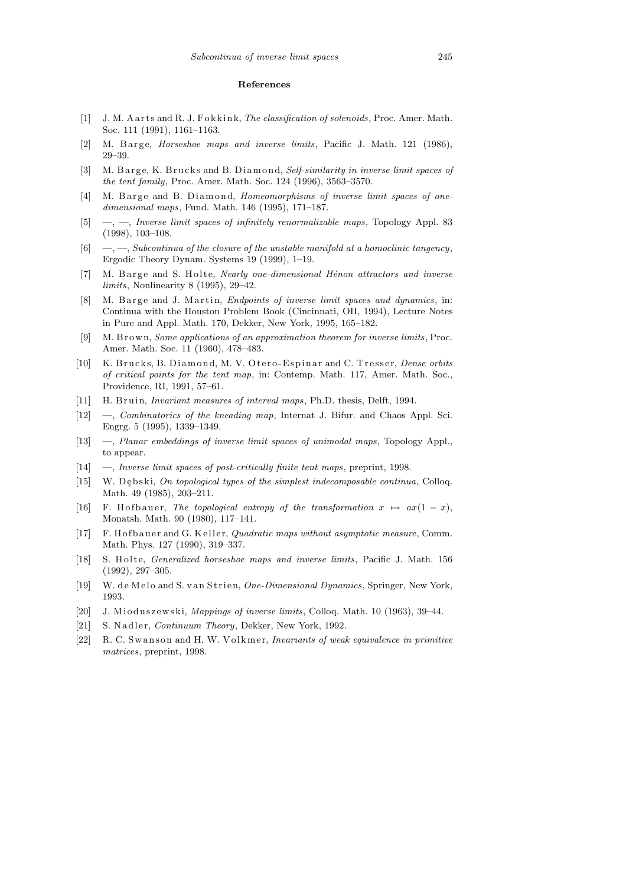## **References**

- [1] J. M. A arts and R. J. Fokkink, *The classification of solenoids*, Proc. Amer. Math. Soc. 111 (1991), 1161–1163.
- [2] M. B arge, *Horseshoe maps and inverse limits*, Pacific J. Math. 121 (1986), 29–39.
- [3] M. Barge, K. Brucks and B. Diamond, *Self-similarity in inverse limit spaces of the tent family*, Proc. Amer. Math. Soc. 124 (1996), 3563–3570.
- [4] M. Barge and B. Diamond, *Homeomorphisms of inverse limit spaces of onedimensional maps*, Fund. Math. 146 (1995), 171–187.
- [5] —, —, *Inverse limit spaces of infinitely renormalizable maps*, Topology Appl. 83 (1998), 103–108.
- [6] —, —, *Subcontinua of the closure of the unstable manifold at a homoclinic tangency*, Ergodic Theory Dynam. Systems 19 (1999), 1–19.
- [7] M. B arge and S. Holte, *Nearly one-dimensional Hénon attractors and inverse limits*, Nonlinearity 8 (1995), 29–42.
- [8] M. B arge and J. Martin, *Endpoints of inverse limit spaces and dynamics*, in: Continua with the Houston Problem Book (Cincinnati, OH, 1994), Lecture Notes in Pure and Appl. Math. 170, Dekker, New York, 1995, 165–182.
- [9] M. B r ow n, *Some applications of an approximation theorem for inverse limits*, Proc. Amer. Math. Soc. 11 (1960), 478–483.
- [10] K. Brucks, B. Diamond, M. V. Otero-Espinar and C. Tresser, *Dense orbits of critical points for the tent map*, in: Contemp. Math. 117, Amer. Math. Soc., Providence, RI, 1991, 57–61.
- [11] H. Bruin, *Invariant measures of interval maps*, Ph.D. thesis, Delft, 1994.
- [12] —, *Combinatorics of the kneading map*, Internat J. Bifur. and Chaos Appl. Sci. Engrg. 5 (1995), 1339–1349.
- [13] —, *Planar embeddings of inverse limit spaces of unimodal maps*, Topology Appl., to appear.
- [14] —, *Inverse limit spaces of post-critically finite tent maps*, preprint, 1998.
- [15] W. Debski, *On topological types of the simplest indecomposable continua*, Colloq. Math. 49 (1985), 203–211.
- [16] F. H of b a uer, *The topological entropy of the transformation*  $x \mapsto ax(1-x)$ , Monatsh. Math. 90 (1980), 117–141.
- [17] F. H of b a uer and G. Keller, *Quadratic maps without asymptotic measure*, Comm. Math. Phys. 127 (1990), 319–337.
- [18] S. Holte, *Generalized horseshoe maps and inverse limits*, Pacific J. Math. 156 (1992), 297–305.
- [19] W. de Melo and S. van Strien, *One-Dimensional Dynamics*, Springer, New York, 1993.
- [20] J. Mioduszewski, *Mappings of inverse limits*, Colloq. Math. 10 (1963), 39–44.
- [21] S. Nadler, *Continuum Theory*, Dekker, New York, 1992.
- [22] R. C. Swanson and H. W. Volkmer, *Invariants of weak equivalence in primitive matrices*, preprint, 1998.